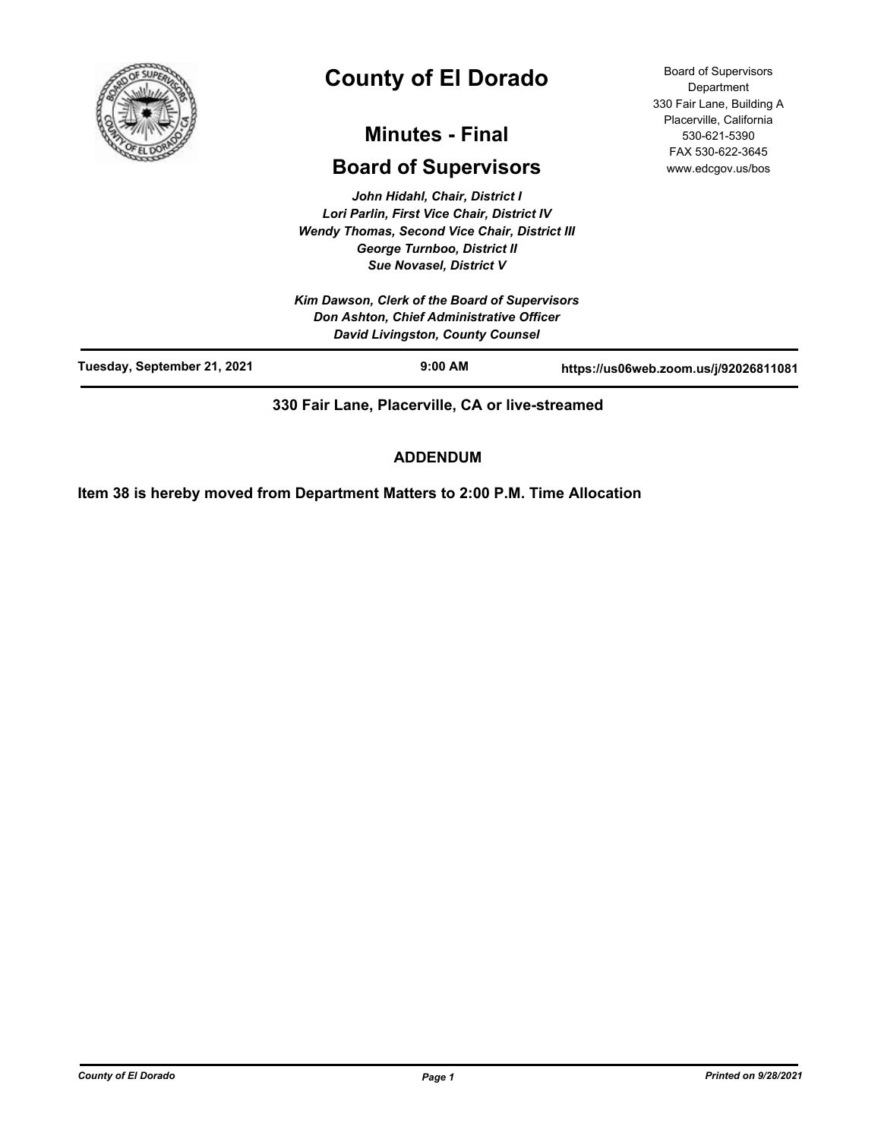

# **County of El Dorado**

## **Minutes - Final**

## **Board of Supervisors**

*John Hidahl, Chair, District I Lori Parlin, First Vice Chair, District IV Wendy Thomas, Second Vice Chair, District III George Turnboo, District II Sue Novasel, District V*

*Kim Dawson, Clerk of the Board of Supervisors Don Ashton, Chief Administrative Officer David Livingston, County Counsel*

Board of Supervisors **Department** 330 Fair Lane, Building A Placerville, California 530-621-5390 FAX 530-622-3645 www.edcgov.us/bos

|                             | <b>David Livingston, County Counsel</b> |                                       |
|-----------------------------|-----------------------------------------|---------------------------------------|
| Tuesday, September 21, 2021 | $9:00$ AM                               | https://us06web.zoom.us/j/92026811081 |
|                             |                                         |                                       |

**330 Fair Lane, Placerville, CA or live-streamed**

## **ADDENDUM**

**Item 38 is hereby moved from Department Matters to 2:00 P.M. Time Allocation**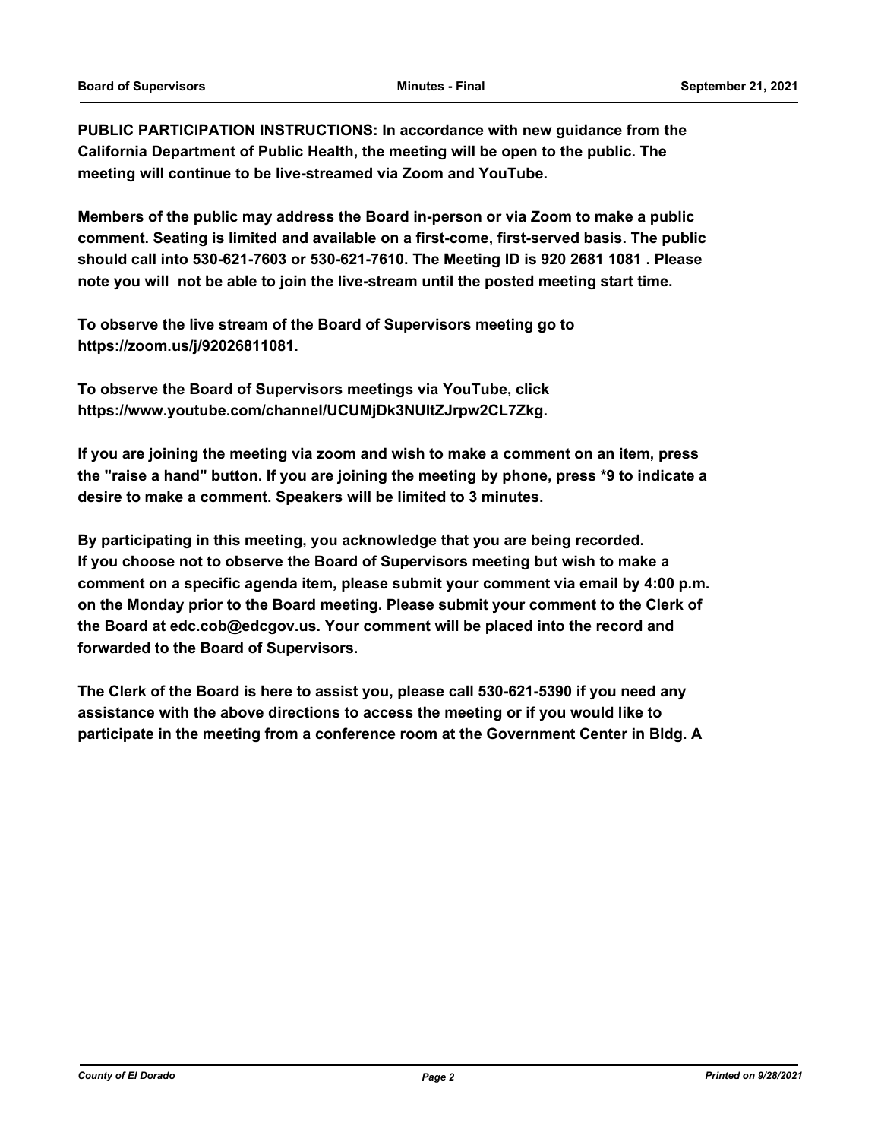**PUBLIC PARTICIPATION INSTRUCTIONS: In accordance with new guidance from the California Department of Public Health, the meeting will be open to the public. The meeting will continue to be live-streamed via Zoom and YouTube.**

**Members of the public may address the Board in-person or via Zoom to make a public comment. Seating is limited and available on a first-come, first-served basis. The public should call into 530-621-7603 or 530-621-7610. The Meeting ID is 920 2681 1081 . Please note you will not be able to join the live-stream until the posted meeting start time.**

**To observe the live stream of the Board of Supervisors meeting go to https://zoom.us/j/92026811081.**

**To observe the Board of Supervisors meetings via YouTube, click https://www.youtube.com/channel/UCUMjDk3NUltZJrpw2CL7Zkg.**

**If you are joining the meeting via zoom and wish to make a comment on an item, press the "raise a hand" button. If you are joining the meeting by phone, press \*9 to indicate a desire to make a comment. Speakers will be limited to 3 minutes.**

**By participating in this meeting, you acknowledge that you are being recorded. If you choose not to observe the Board of Supervisors meeting but wish to make a comment on a specific agenda item, please submit your comment via email by 4:00 p.m. on the Monday prior to the Board meeting. Please submit your comment to the Clerk of the Board at edc.cob@edcgov.us. Your comment will be placed into the record and forwarded to the Board of Supervisors.**

**The Clerk of the Board is here to assist you, please call 530-621-5390 if you need any assistance with the above directions to access the meeting or if you would like to participate in the meeting from a conference room at the Government Center in Bldg. A**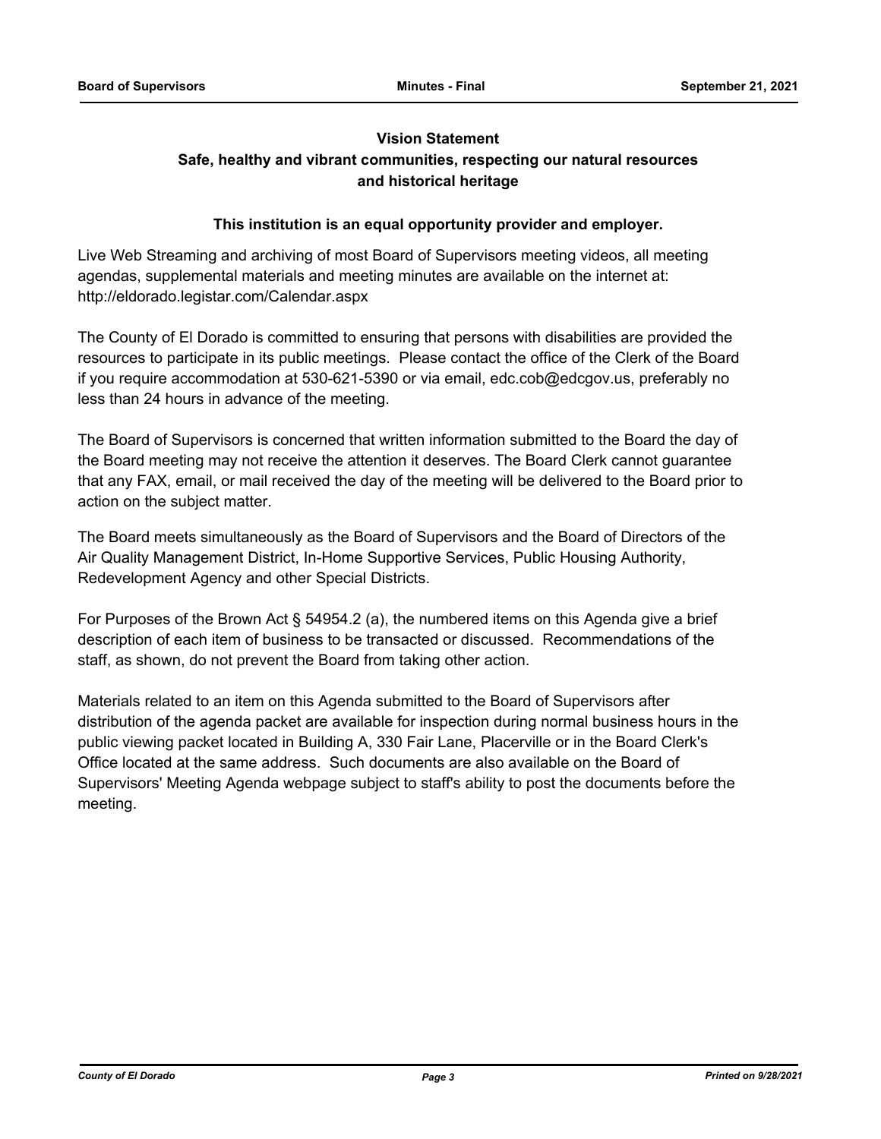## **Vision Statement**

## **Safe, healthy and vibrant communities, respecting our natural resources and historical heritage**

## **This institution is an equal opportunity provider and employer.**

Live Web Streaming and archiving of most Board of Supervisors meeting videos, all meeting agendas, supplemental materials and meeting minutes are available on the internet at: http://eldorado.legistar.com/Calendar.aspx

The County of El Dorado is committed to ensuring that persons with disabilities are provided the resources to participate in its public meetings. Please contact the office of the Clerk of the Board if you require accommodation at 530-621-5390 or via email, edc.cob@edcgov.us, preferably no less than 24 hours in advance of the meeting.

The Board of Supervisors is concerned that written information submitted to the Board the day of the Board meeting may not receive the attention it deserves. The Board Clerk cannot guarantee that any FAX, email, or mail received the day of the meeting will be delivered to the Board prior to action on the subject matter.

The Board meets simultaneously as the Board of Supervisors and the Board of Directors of the Air Quality Management District, In-Home Supportive Services, Public Housing Authority, Redevelopment Agency and other Special Districts.

For Purposes of the Brown Act § 54954.2 (a), the numbered items on this Agenda give a brief description of each item of business to be transacted or discussed. Recommendations of the staff, as shown, do not prevent the Board from taking other action.

Materials related to an item on this Agenda submitted to the Board of Supervisors after distribution of the agenda packet are available for inspection during normal business hours in the public viewing packet located in Building A, 330 Fair Lane, Placerville or in the Board Clerk's Office located at the same address. Such documents are also available on the Board of Supervisors' Meeting Agenda webpage subject to staff's ability to post the documents before the meeting.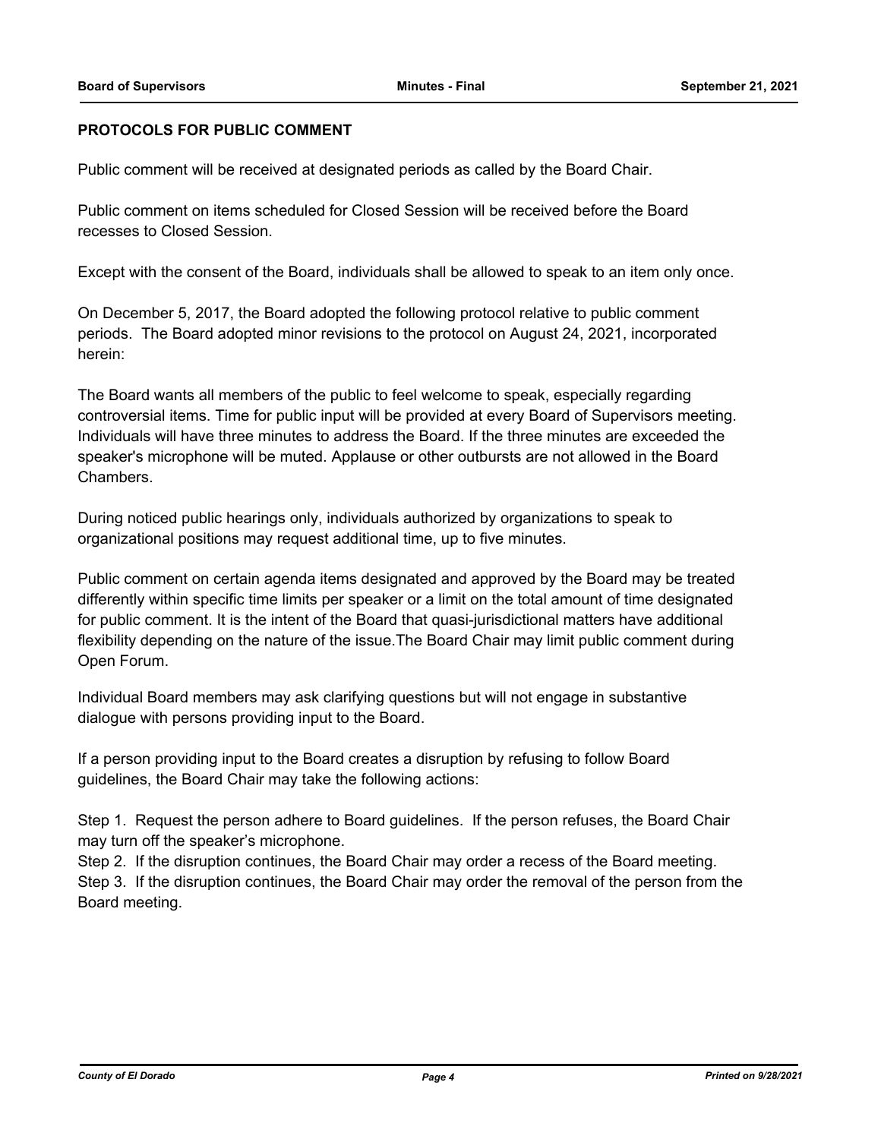## **PROTOCOLS FOR PUBLIC COMMENT**

Public comment will be received at designated periods as called by the Board Chair.

Public comment on items scheduled for Closed Session will be received before the Board recesses to Closed Session.

Except with the consent of the Board, individuals shall be allowed to speak to an item only once.

On December 5, 2017, the Board adopted the following protocol relative to public comment periods. The Board adopted minor revisions to the protocol on August 24, 2021, incorporated herein:

The Board wants all members of the public to feel welcome to speak, especially regarding controversial items. Time for public input will be provided at every Board of Supervisors meeting. Individuals will have three minutes to address the Board. If the three minutes are exceeded the speaker's microphone will be muted. Applause or other outbursts are not allowed in the Board Chambers.

During noticed public hearings only, individuals authorized by organizations to speak to organizational positions may request additional time, up to five minutes.

Public comment on certain agenda items designated and approved by the Board may be treated differently within specific time limits per speaker or a limit on the total amount of time designated for public comment. It is the intent of the Board that quasi-jurisdictional matters have additional flexibility depending on the nature of the issue.The Board Chair may limit public comment during Open Forum.

Individual Board members may ask clarifying questions but will not engage in substantive dialogue with persons providing input to the Board.

If a person providing input to the Board creates a disruption by refusing to follow Board guidelines, the Board Chair may take the following actions:

Step 1. Request the person adhere to Board guidelines. If the person refuses, the Board Chair may turn off the speaker's microphone.

Step 2. If the disruption continues, the Board Chair may order a recess of the Board meeting. Step 3. If the disruption continues, the Board Chair may order the removal of the person from the Board meeting.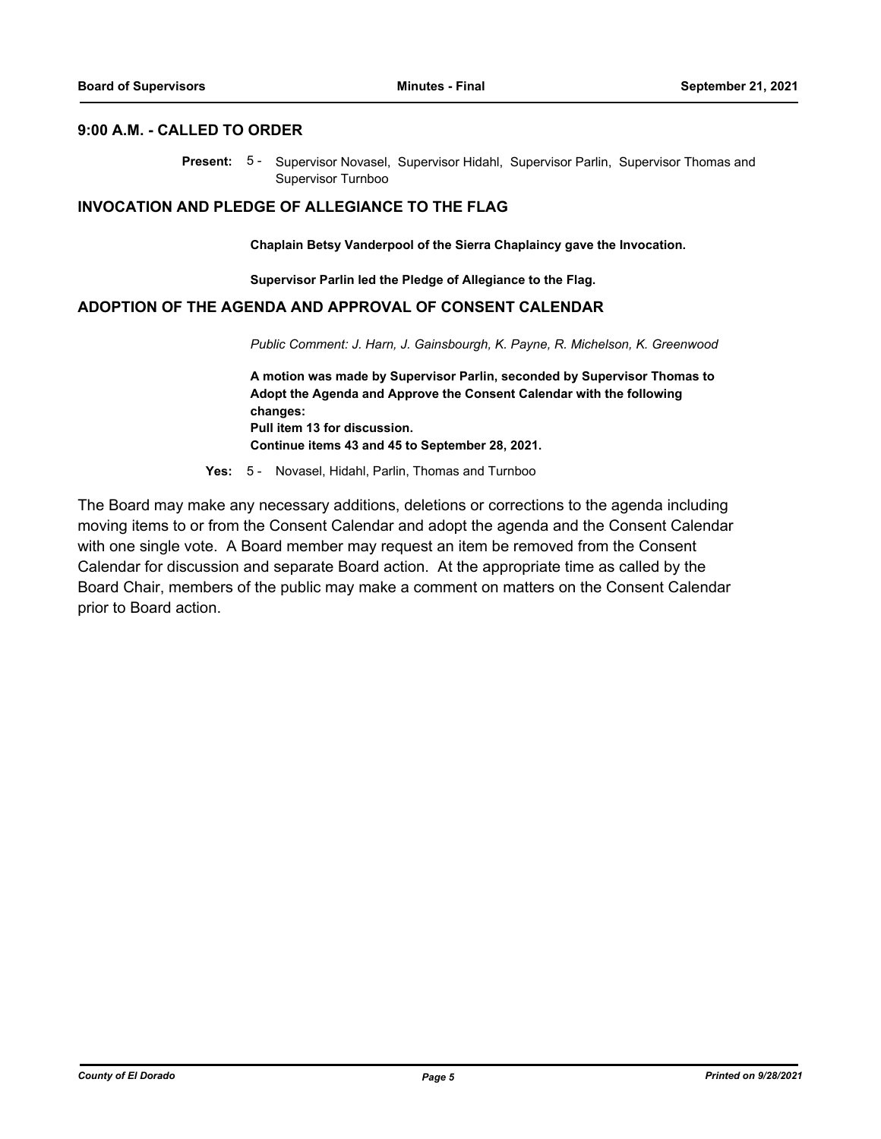#### **9:00 A.M. - CALLED TO ORDER**

Present: 5- Supervisor Novasel, Supervisor Hidahl, Supervisor Parlin, Supervisor Thomas and Supervisor Turnboo

#### **INVOCATION AND PLEDGE OF ALLEGIANCE TO THE FLAG**

**Chaplain Betsy Vanderpool of the Sierra Chaplaincy gave the Invocation.**

**Supervisor Parlin led the Pledge of Allegiance to the Flag.**

#### **ADOPTION OF THE AGENDA AND APPROVAL OF CONSENT CALENDAR**

*Public Comment: J. Harn, J. Gainsbourgh, K. Payne, R. Michelson, K. Greenwood*

**A motion was made by Supervisor Parlin, seconded by Supervisor Thomas to Adopt the Agenda and Approve the Consent Calendar with the following changes: Pull item 13 for discussion. Continue items 43 and 45 to September 28, 2021.**

**Yes:** 5 - Novasel, Hidahl, Parlin, Thomas and Turnboo

The Board may make any necessary additions, deletions or corrections to the agenda including moving items to or from the Consent Calendar and adopt the agenda and the Consent Calendar with one single vote. A Board member may request an item be removed from the Consent Calendar for discussion and separate Board action. At the appropriate time as called by the Board Chair, members of the public may make a comment on matters on the Consent Calendar prior to Board action.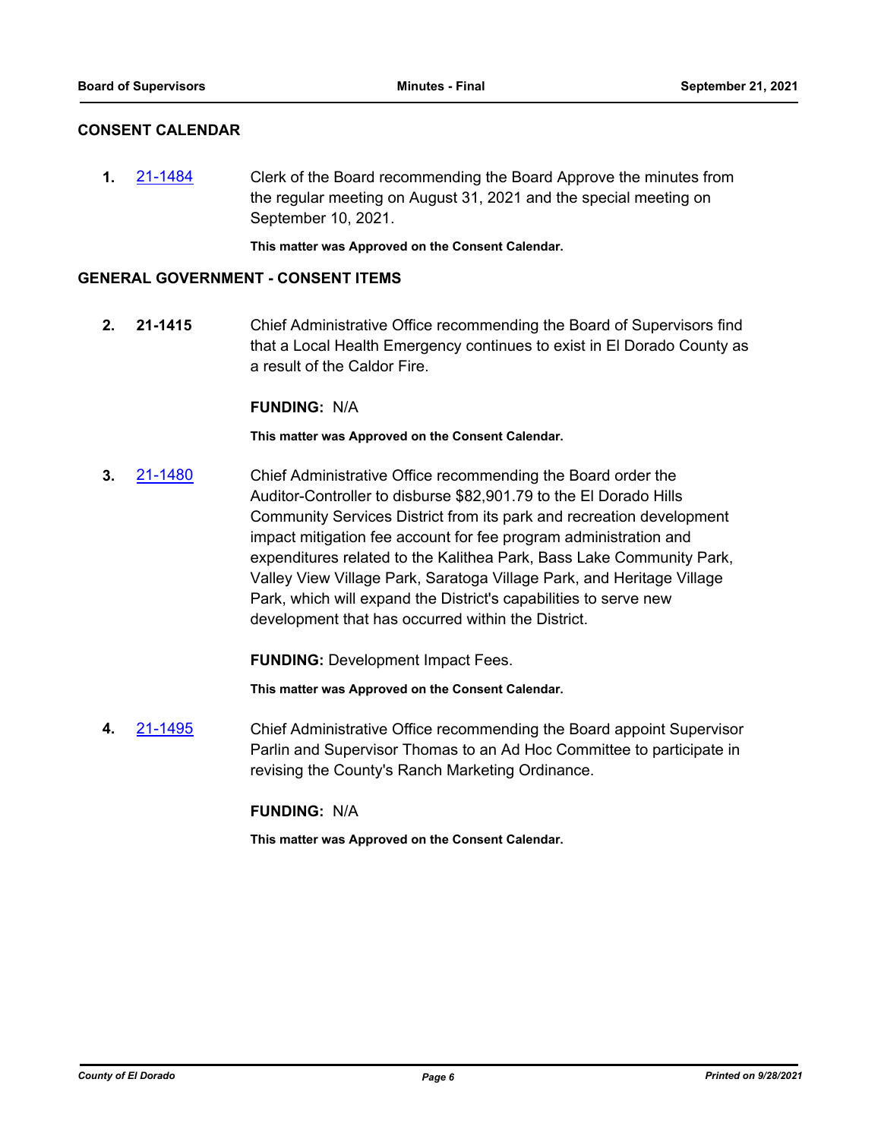#### **CONSENT CALENDAR**

**1.** [21-1484](http://eldorado.legistar.com/gateway.aspx?m=l&id=/matter.aspx?key=30379) Clerk of the Board recommending the Board Approve the minutes from the regular meeting on August 31, 2021 and the special meeting on September 10, 2021.

**This matter was Approved on the Consent Calendar.**

#### **GENERAL GOVERNMENT - CONSENT ITEMS**

**2. 21-1415** Chief Administrative Office recommending the Board of Supervisors find that a Local Health Emergency continues to exist in El Dorado County as a result of the Caldor Fire.

#### **FUNDING:** N/A

**This matter was Approved on the Consent Calendar.**

**3.** [21-1480](http://eldorado.legistar.com/gateway.aspx?m=l&id=/matter.aspx?key=30375) Chief Administrative Office recommending the Board order the Auditor-Controller to disburse \$82,901.79 to the El Dorado Hills Community Services District from its park and recreation development impact mitigation fee account for fee program administration and expenditures related to the Kalithea Park, Bass Lake Community Park, Valley View Village Park, Saratoga Village Park, and Heritage Village Park, which will expand the District's capabilities to serve new development that has occurred within the District.

**FUNDING:** Development Impact Fees.

**This matter was Approved on the Consent Calendar.**

**4.** [21-1495](http://eldorado.legistar.com/gateway.aspx?m=l&id=/matter.aspx?key=30390) Chief Administrative Office recommending the Board appoint Supervisor Parlin and Supervisor Thomas to an Ad Hoc Committee to participate in revising the County's Ranch Marketing Ordinance.

## **FUNDING:** N/A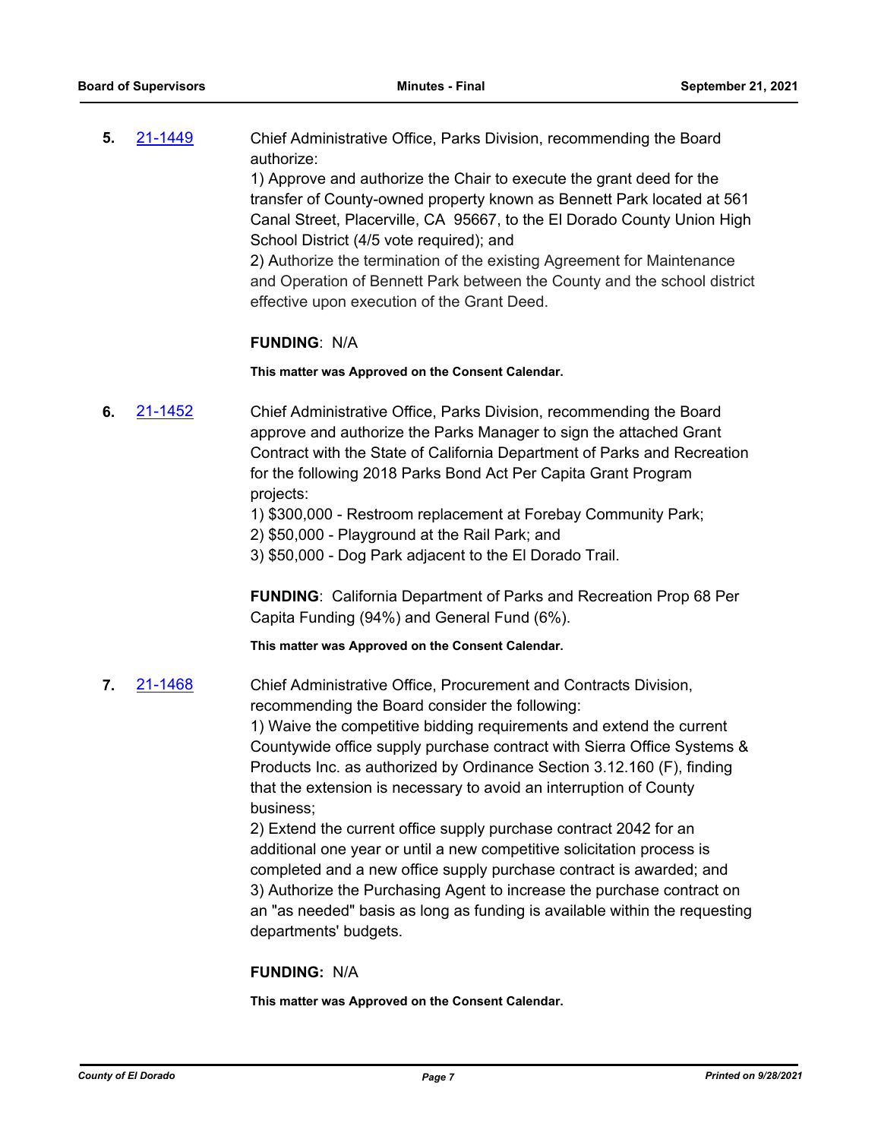**5.** [21-1449](http://eldorado.legistar.com/gateway.aspx?m=l&id=/matter.aspx?key=30344) Chief Administrative Office, Parks Division, recommending the Board authorize:

> 1) Approve and authorize the Chair to execute the grant deed for the transfer of County-owned property known as Bennett Park located at 561 Canal Street, Placerville, CA 95667, to the El Dorado County Union High School District (4/5 vote required); and

> 2) Authorize the termination of the existing Agreement for Maintenance and Operation of Bennett Park between the County and the school district effective upon execution of the Grant Deed.

#### **FUNDING**: N/A

**This matter was Approved on the Consent Calendar.**

- **6.** [21-1452](http://eldorado.legistar.com/gateway.aspx?m=l&id=/matter.aspx?key=30347) Chief Administrative Office, Parks Division, recommending the Board approve and authorize the Parks Manager to sign the attached Grant Contract with the State of California Department of Parks and Recreation for the following 2018 Parks Bond Act Per Capita Grant Program projects:
	- 1) \$300,000 Restroom replacement at Forebay Community Park;
	- 2) \$50,000 Playground at the Rail Park; and
	- 3) \$50,000 Dog Park adjacent to the El Dorado Trail.

**FUNDING**: California Department of Parks and Recreation Prop 68 Per Capita Funding (94%) and General Fund (6%).

**This matter was Approved on the Consent Calendar.**

**7.** [21-1468](http://eldorado.legistar.com/gateway.aspx?m=l&id=/matter.aspx?key=30363) Chief Administrative Office, Procurement and Contracts Division, recommending the Board consider the following:

> 1) Waive the competitive bidding requirements and extend the current Countywide office supply purchase contract with Sierra Office Systems & Products Inc. as authorized by Ordinance Section 3.12.160 (F), finding that the extension is necessary to avoid an interruption of County business;

> 2) Extend the current office supply purchase contract 2042 for an additional one year or until a new competitive solicitation process is completed and a new office supply purchase contract is awarded; and 3) Authorize the Purchasing Agent to increase the purchase contract on an "as needed" basis as long as funding is available within the requesting departments' budgets.

#### **FUNDING:** N/A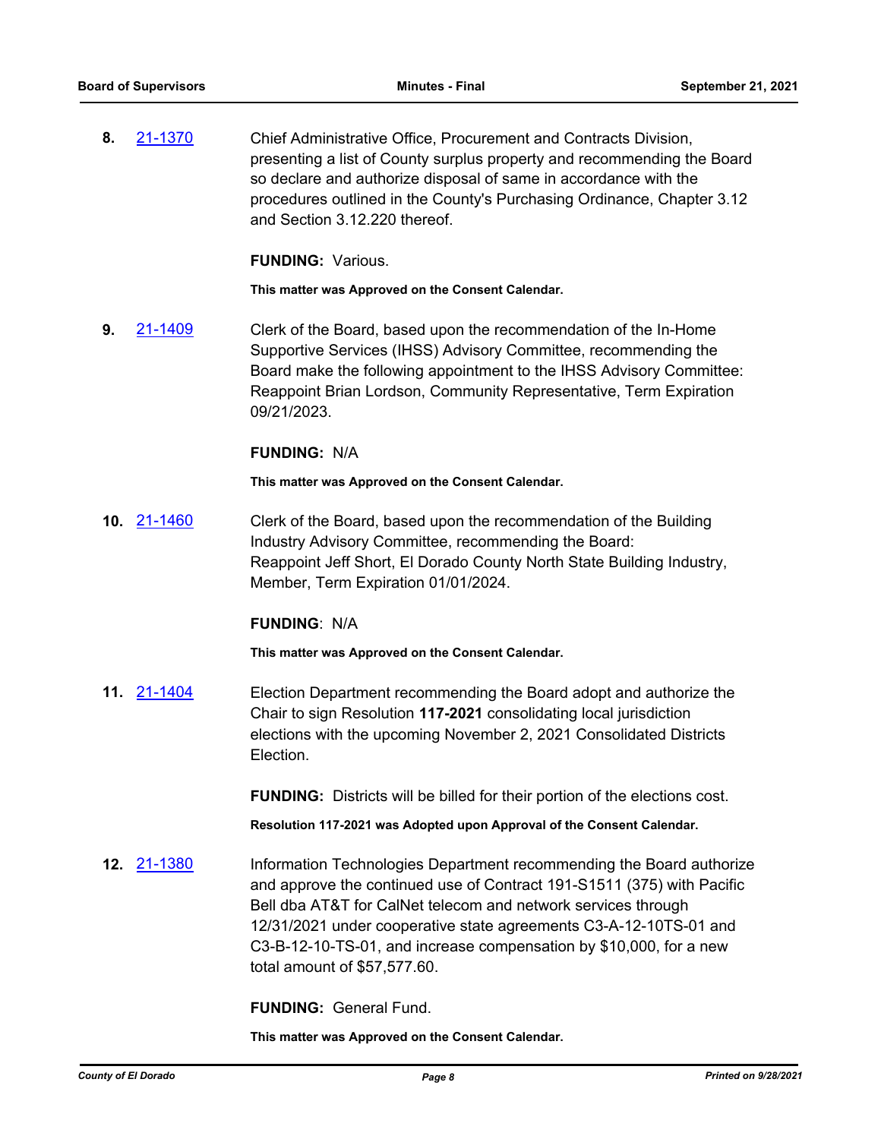**8.** [21-1370](http://eldorado.legistar.com/gateway.aspx?m=l&id=/matter.aspx?key=30265) Chief Administrative Office, Procurement and Contracts Division, presenting a list of County surplus property and recommending the Board so declare and authorize disposal of same in accordance with the procedures outlined in the County's Purchasing Ordinance, Chapter 3.12 and Section 3.12.220 thereof.

**FUNDING:** Various.

**This matter was Approved on the Consent Calendar.**

**9.** [21-1409](http://eldorado.legistar.com/gateway.aspx?m=l&id=/matter.aspx?key=30304) Clerk of the Board, based upon the recommendation of the In-Home Supportive Services (IHSS) Advisory Committee, recommending the Board make the following appointment to the IHSS Advisory Committee: Reappoint Brian Lordson, Community Representative, Term Expiration 09/21/2023.

#### **FUNDING:** N/A

**This matter was Approved on the Consent Calendar.**

**10.** [21-1460](http://eldorado.legistar.com/gateway.aspx?m=l&id=/matter.aspx?key=30355) Clerk of the Board, based upon the recommendation of the Building Industry Advisory Committee, recommending the Board: Reappoint Jeff Short, El Dorado County North State Building Industry, Member, Term Expiration 01/01/2024.

#### **FUNDING**: N/A

**This matter was Approved on the Consent Calendar.**

**11.** [21-1404](http://eldorado.legistar.com/gateway.aspx?m=l&id=/matter.aspx?key=30299) Election Department recommending the Board adopt and authorize the Chair to sign Resolution **117-2021** consolidating local jurisdiction elections with the upcoming November 2, 2021 Consolidated Districts Election.

**FUNDING:** Districts will be billed for their portion of the elections cost.

**Resolution 117-2021 was Adopted upon Approval of the Consent Calendar.**

**12.** [21-1380](http://eldorado.legistar.com/gateway.aspx?m=l&id=/matter.aspx?key=30275) Information Technologies Department recommending the Board authorize and approve the continued use of Contract 191-S1511 (375) with Pacific Bell dba AT&T for CalNet telecom and network services through 12/31/2021 under cooperative state agreements C3-A-12-10TS-01 and C3-B-12-10-TS-01, and increase compensation by \$10,000, for a new total amount of \$57,577.60.

**FUNDING:** General Fund.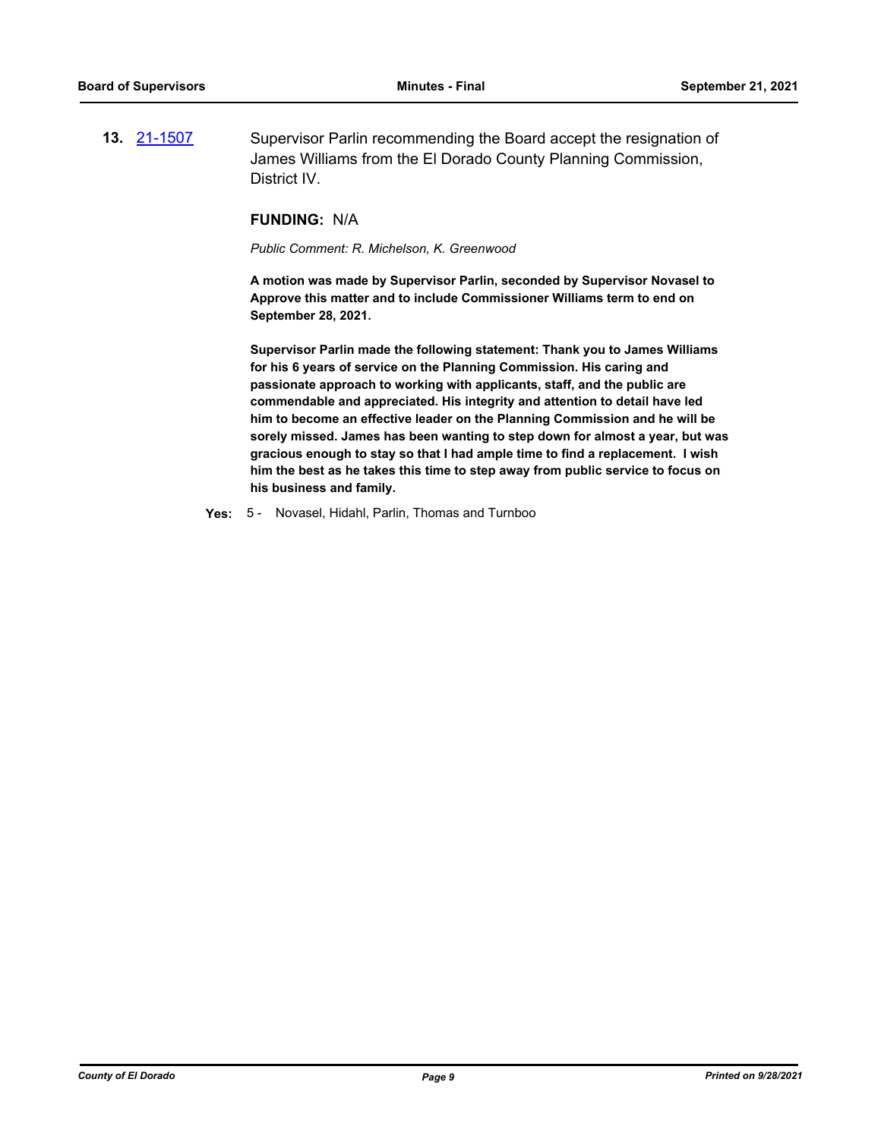**13.** [21-1507](http://eldorado.legistar.com/gateway.aspx?m=l&id=/matter.aspx?key=30402) Supervisor Parlin recommending the Board accept the resignation of James Williams from the El Dorado County Planning Commission, District IV.

#### **FUNDING:** N/A

*Public Comment: R. Michelson, K. Greenwood*

**A motion was made by Supervisor Parlin, seconded by Supervisor Novasel to Approve this matter and to include Commissioner Williams term to end on September 28, 2021.** 

**Supervisor Parlin made the following statement: Thank you to James Williams for his 6 years of service on the Planning Commission. His caring and passionate approach to working with applicants, staff, and the public are commendable and appreciated. His integrity and attention to detail have led him to become an effective leader on the Planning Commission and he will be sorely missed. James has been wanting to step down for almost a year, but was gracious enough to stay so that I had ample time to find a replacement. I wish him the best as he takes this time to step away from public service to focus on his business and family.**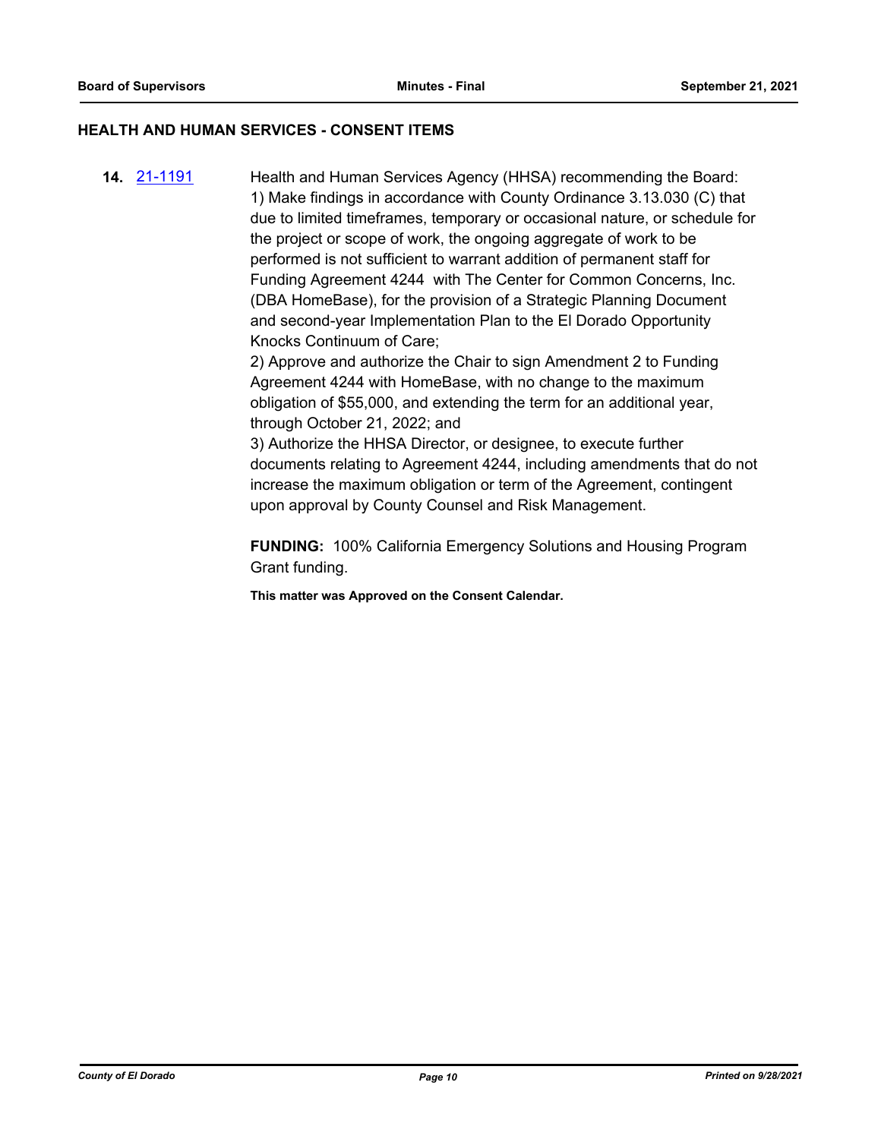## **HEALTH AND HUMAN SERVICES - CONSENT ITEMS**

**14.** [21-1191](http://eldorado.legistar.com/gateway.aspx?m=l&id=/matter.aspx?key=30086) Health and Human Services Agency (HHSA) recommending the Board: 1) Make findings in accordance with County Ordinance 3.13.030 (C) that due to limited timeframes, temporary or occasional nature, or schedule for the project or scope of work, the ongoing aggregate of work to be performed is not sufficient to warrant addition of permanent staff for Funding Agreement 4244 with The Center for Common Concerns, Inc. (DBA HomeBase), for the provision of a Strategic Planning Document and second-year Implementation Plan to the El Dorado Opportunity Knocks Continuum of Care;

> 2) Approve and authorize the Chair to sign Amendment 2 to Funding Agreement 4244 with HomeBase, with no change to the maximum obligation of \$55,000, and extending the term for an additional year, through October 21, 2022; and

3) Authorize the HHSA Director, or designee, to execute further documents relating to Agreement 4244, including amendments that do not increase the maximum obligation or term of the Agreement, contingent upon approval by County Counsel and Risk Management.

**FUNDING:** 100% California Emergency Solutions and Housing Program Grant funding.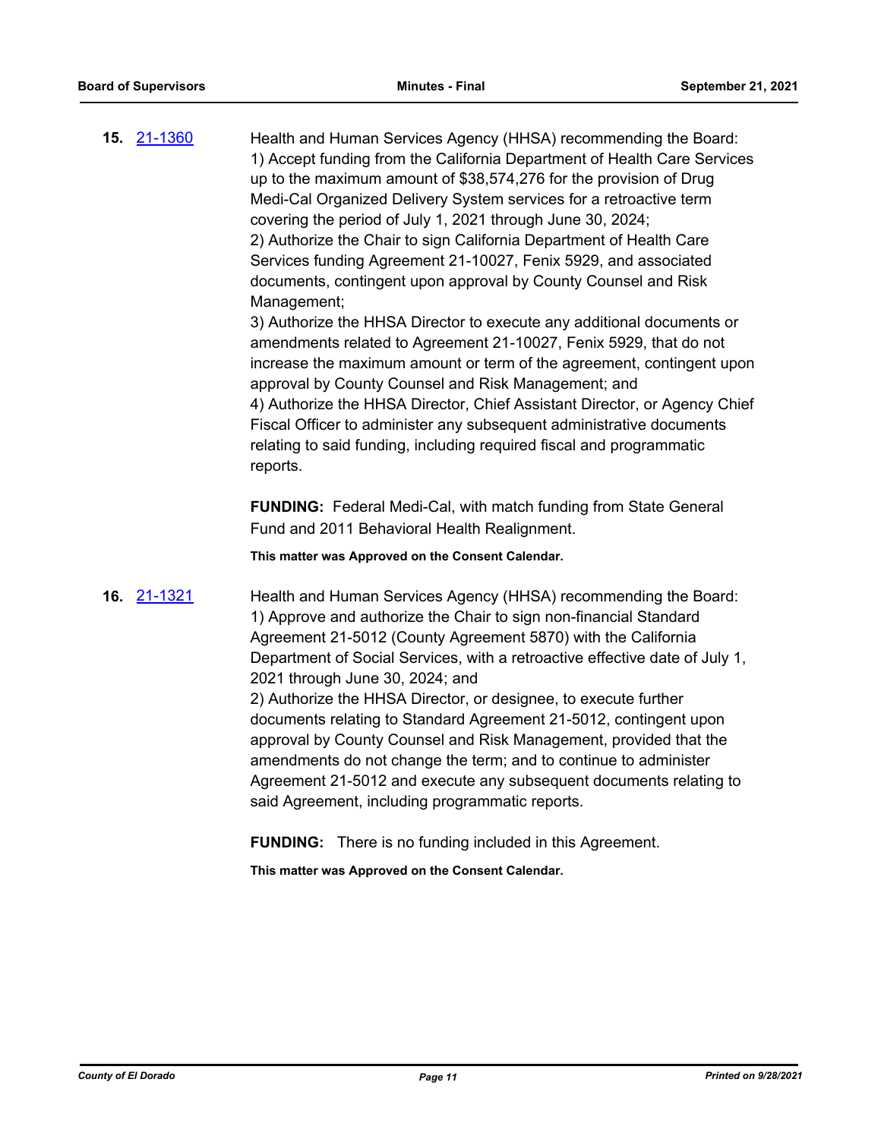**15.** [21-1360](http://eldorado.legistar.com/gateway.aspx?m=l&id=/matter.aspx?key=30255) Health and Human Services Agency (HHSA) recommending the Board: 1) Accept funding from the California Department of Health Care Services up to the maximum amount of \$38,574,276 for the provision of Drug Medi-Cal Organized Delivery System services for a retroactive term covering the period of July 1, 2021 through June 30, 2024; 2) Authorize the Chair to sign California Department of Health Care Services funding Agreement 21-10027, Fenix 5929, and associated documents, contingent upon approval by County Counsel and Risk Management;

3) Authorize the HHSA Director to execute any additional documents or amendments related to Agreement 21-10027, Fenix 5929, that do not increase the maximum amount or term of the agreement, contingent upon approval by County Counsel and Risk Management; and 4) Authorize the HHSA Director, Chief Assistant Director, or Agency Chief Fiscal Officer to administer any subsequent administrative documents relating to said funding, including required fiscal and programmatic reports.

**FUNDING:** Federal Medi-Cal, with match funding from State General Fund and 2011 Behavioral Health Realignment.

**This matter was Approved on the Consent Calendar.**

**16.** [21-1321](http://eldorado.legistar.com/gateway.aspx?m=l&id=/matter.aspx?key=30216) Health and Human Services Agency (HHSA) recommending the Board: 1) Approve and authorize the Chair to sign non-financial Standard Agreement 21-5012 (County Agreement 5870) with the California Department of Social Services, with a retroactive effective date of July 1, 2021 through June 30, 2024; and 2) Authorize the HHSA Director, or designee, to execute further documents relating to Standard Agreement 21-5012, contingent upon approval by County Counsel and Risk Management, provided that the amendments do not change the term; and to continue to administer Agreement 21-5012 and execute any subsequent documents relating to said Agreement, including programmatic reports.

**FUNDING:** There is no funding included in this Agreement.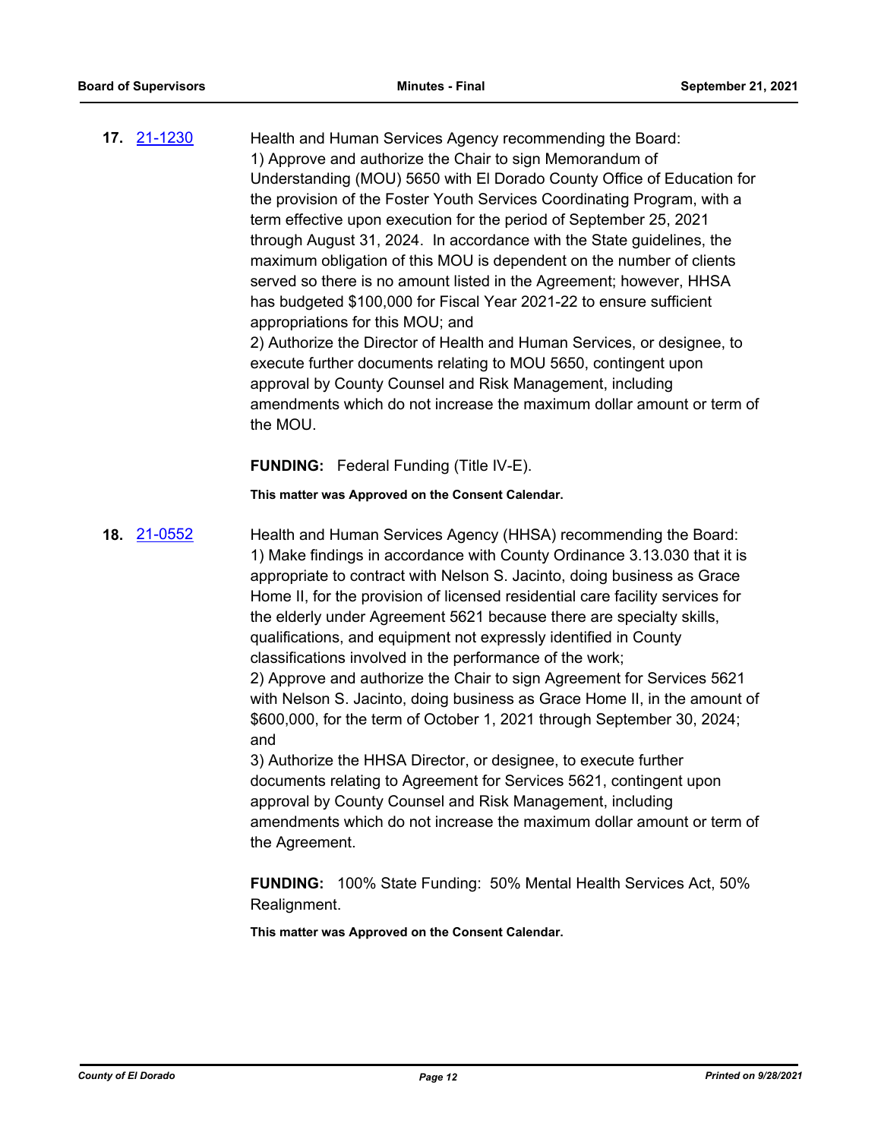**17.** [21-1230](http://eldorado.legistar.com/gateway.aspx?m=l&id=/matter.aspx?key=30125) Health and Human Services Agency recommending the Board: 1) Approve and authorize the Chair to sign Memorandum of Understanding (MOU) 5650 with El Dorado County Office of Education for the provision of the Foster Youth Services Coordinating Program, with a term effective upon execution for the period of September 25, 2021 through August 31, 2024. In accordance with the State guidelines, the maximum obligation of this MOU is dependent on the number of clients served so there is no amount listed in the Agreement; however, HHSA has budgeted \$100,000 for Fiscal Year 2021-22 to ensure sufficient appropriations for this MOU; and 2) Authorize the Director of Health and Human Services, or designee, to execute further documents relating to MOU 5650, contingent upon approval by County Counsel and Risk Management, including amendments which do not increase the maximum dollar amount or term of

**FUNDING:** Federal Funding (Title IV-E).

the MOU.

**This matter was Approved on the Consent Calendar.**

**18.** [21-0552](http://eldorado.legistar.com/gateway.aspx?m=l&id=/matter.aspx?key=29448) Health and Human Services Agency (HHSA) recommending the Board: 1) Make findings in accordance with County Ordinance 3.13.030 that it is appropriate to contract with Nelson S. Jacinto, doing business as Grace Home II, for the provision of licensed residential care facility services for the elderly under Agreement 5621 because there are specialty skills, qualifications, and equipment not expressly identified in County classifications involved in the performance of the work; 2) Approve and authorize the Chair to sign Agreement for Services 5621 with Nelson S. Jacinto, doing business as Grace Home II, in the amount of \$600,000, for the term of October 1, 2021 through September 30, 2024; and

> 3) Authorize the HHSA Director, or designee, to execute further documents relating to Agreement for Services 5621, contingent upon approval by County Counsel and Risk Management, including amendments which do not increase the maximum dollar amount or term of the Agreement.

**FUNDING:** 100% State Funding: 50% Mental Health Services Act, 50% Realignment.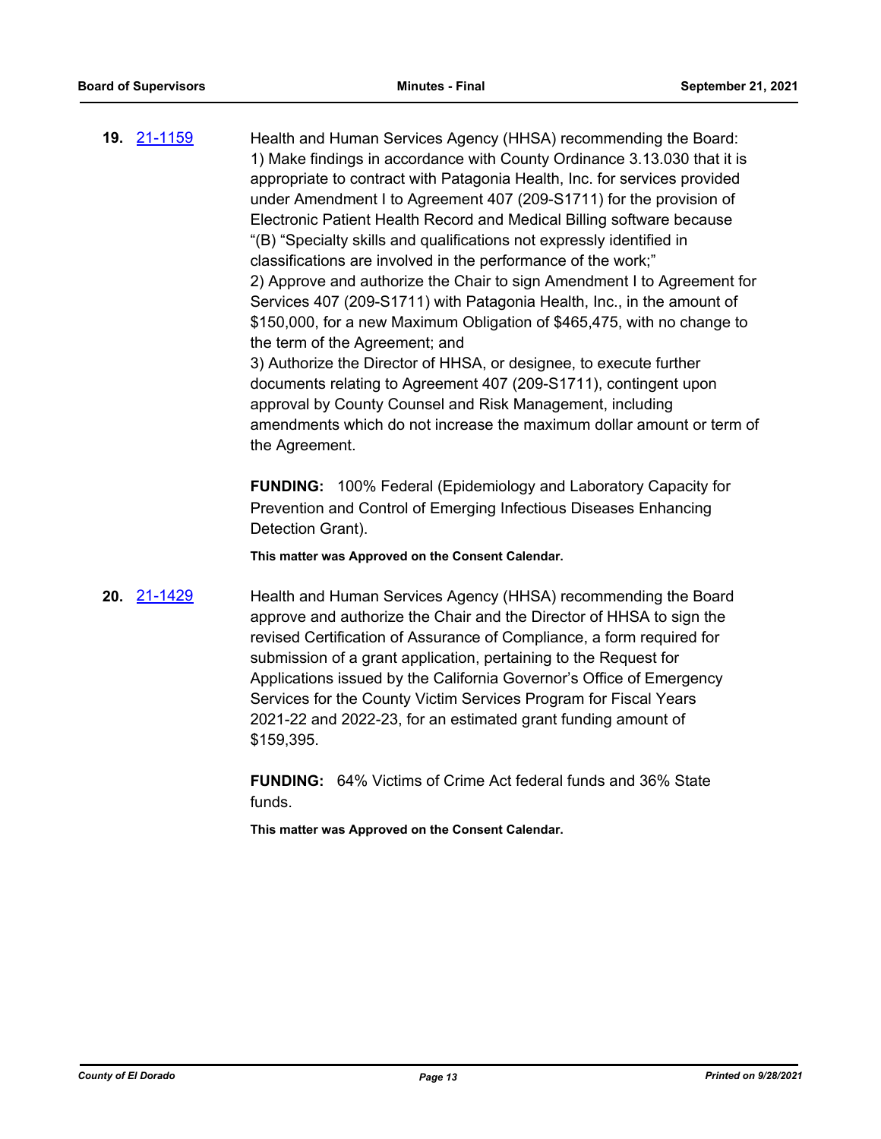**19.** [21-1159](http://eldorado.legistar.com/gateway.aspx?m=l&id=/matter.aspx?key=30054) Health and Human Services Agency (HHSA) recommending the Board: 1) Make findings in accordance with County Ordinance 3.13.030 that it is appropriate to contract with Patagonia Health, Inc. for services provided under Amendment I to Agreement 407 (209-S1711) for the provision of Electronic Patient Health Record and Medical Billing software because "(B) "Specialty skills and qualifications not expressly identified in classifications are involved in the performance of the work;" 2) Approve and authorize the Chair to sign Amendment I to Agreement for Services 407 (209-S1711) with Patagonia Health, Inc., in the amount of \$150,000, for a new Maximum Obligation of \$465,475, with no change to the term of the Agreement; and 3) Authorize the Director of HHSA, or designee, to execute further documents relating to Agreement 407 (209-S1711), contingent upon approval by County Counsel and Risk Management, including amendments which do not increase the maximum dollar amount or term of

> **FUNDING:** 100% Federal (Epidemiology and Laboratory Capacity for Prevention and Control of Emerging Infectious Diseases Enhancing Detection Grant).

**This matter was Approved on the Consent Calendar.**

the Agreement.

**20.** [21-1429](http://eldorado.legistar.com/gateway.aspx?m=l&id=/matter.aspx?key=30324) Health and Human Services Agency (HHSA) recommending the Board approve and authorize the Chair and the Director of HHSA to sign the revised Certification of Assurance of Compliance, a form required for submission of a grant application, pertaining to the Request for Applications issued by the California Governor's Office of Emergency Services for the County Victim Services Program for Fiscal Years 2021-22 and 2022-23, for an estimated grant funding amount of \$159,395.

> **FUNDING:** 64% Victims of Crime Act federal funds and 36% State funds.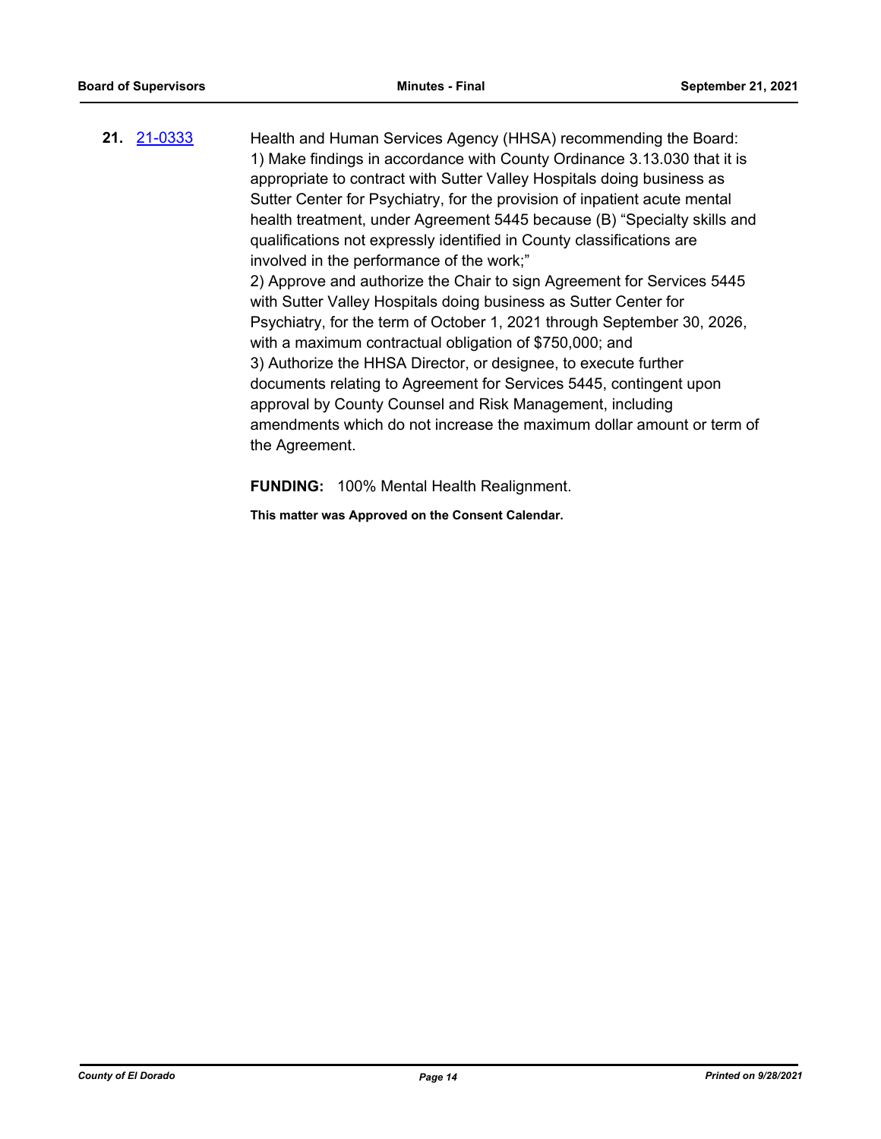**21.** [21-0333](http://eldorado.legistar.com/gateway.aspx?m=l&id=/matter.aspx?key=29229) Health and Human Services Agency (HHSA) recommending the Board: 1) Make findings in accordance with County Ordinance 3.13.030 that it is appropriate to contract with Sutter Valley Hospitals doing business as Sutter Center for Psychiatry, for the provision of inpatient acute mental health treatment, under Agreement 5445 because (B) "Specialty skills and qualifications not expressly identified in County classifications are involved in the performance of the work;" 2) Approve and authorize the Chair to sign Agreement for Services 5445 with Sutter Valley Hospitals doing business as Sutter Center for Psychiatry, for the term of October 1, 2021 through September 30, 2026, with a maximum contractual obligation of \$750,000; and 3) Authorize the HHSA Director, or designee, to execute further documents relating to Agreement for Services 5445, contingent upon approval by County Counsel and Risk Management, including amendments which do not increase the maximum dollar amount or term of the Agreement.

**FUNDING:** 100% Mental Health Realignment.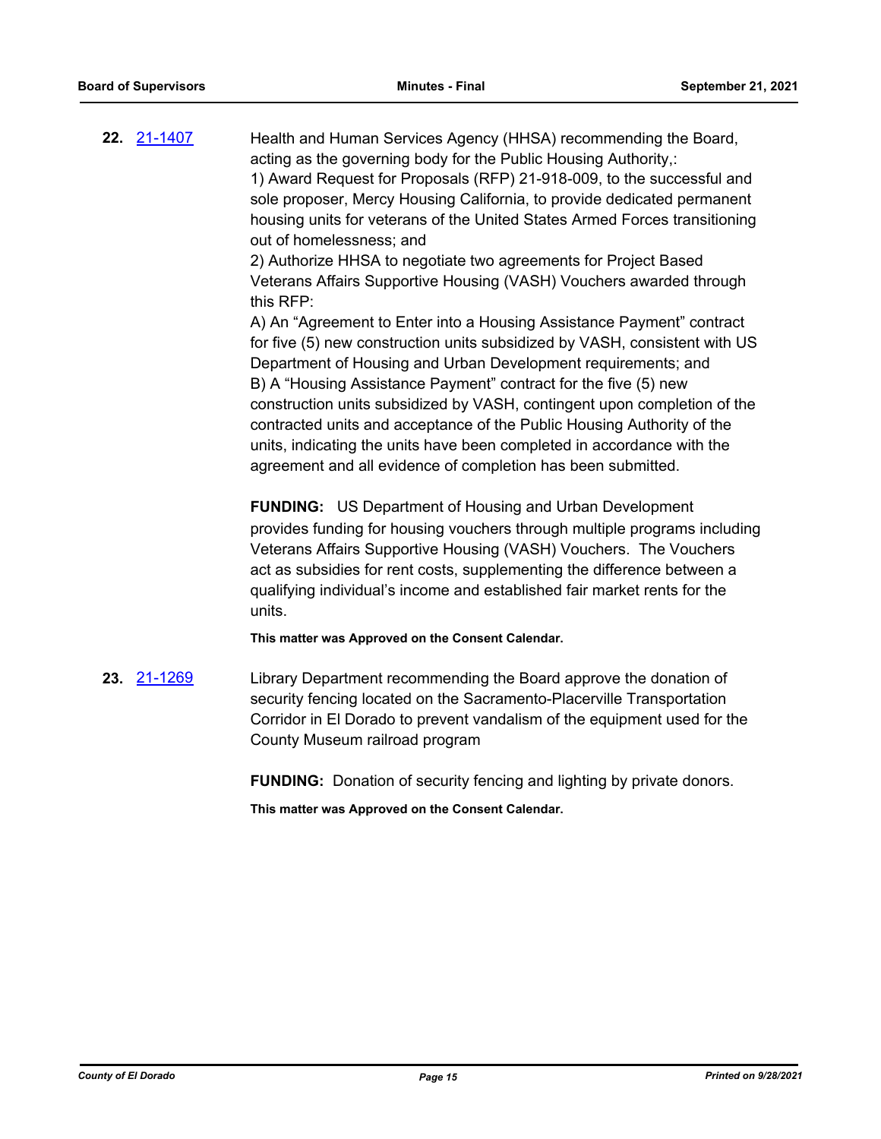**22.** [21-1407](http://eldorado.legistar.com/gateway.aspx?m=l&id=/matter.aspx?key=30302) Health and Human Services Agency (HHSA) recommending the Board, acting as the governing body for the Public Housing Authority,: 1) Award Request for Proposals (RFP) 21-918-009, to the successful and sole proposer, Mercy Housing California, to provide dedicated permanent housing units for veterans of the United States Armed Forces transitioning out of homelessness; and 2) Authorize HHSA to negotiate two agreements for Project Based Veterans Affairs Supportive Housing (VASH) Vouchers awarded through this RFP: A) An "Agreement to Enter into a Housing Assistance Payment" contract for five (5) new construction units subsidized by VASH, consistent with US

Department of Housing and Urban Development requirements; and B) A "Housing Assistance Payment" contract for the five (5) new construction units subsidized by VASH, contingent upon completion of the contracted units and acceptance of the Public Housing Authority of the units, indicating the units have been completed in accordance with the agreement and all evidence of completion has been submitted.

**FUNDING:** US Department of Housing and Urban Development provides funding for housing vouchers through multiple programs including Veterans Affairs Supportive Housing (VASH) Vouchers. The Vouchers act as subsidies for rent costs, supplementing the difference between a qualifying individual's income and established fair market rents for the units.

**This matter was Approved on the Consent Calendar.**

**23.** [21-1269](http://eldorado.legistar.com/gateway.aspx?m=l&id=/matter.aspx?key=30164) Library Department recommending the Board approve the donation of security fencing located on the Sacramento-Placerville Transportation Corridor in El Dorado to prevent vandalism of the equipment used for the County Museum railroad program

**FUNDING:** Donation of security fencing and lighting by private donors.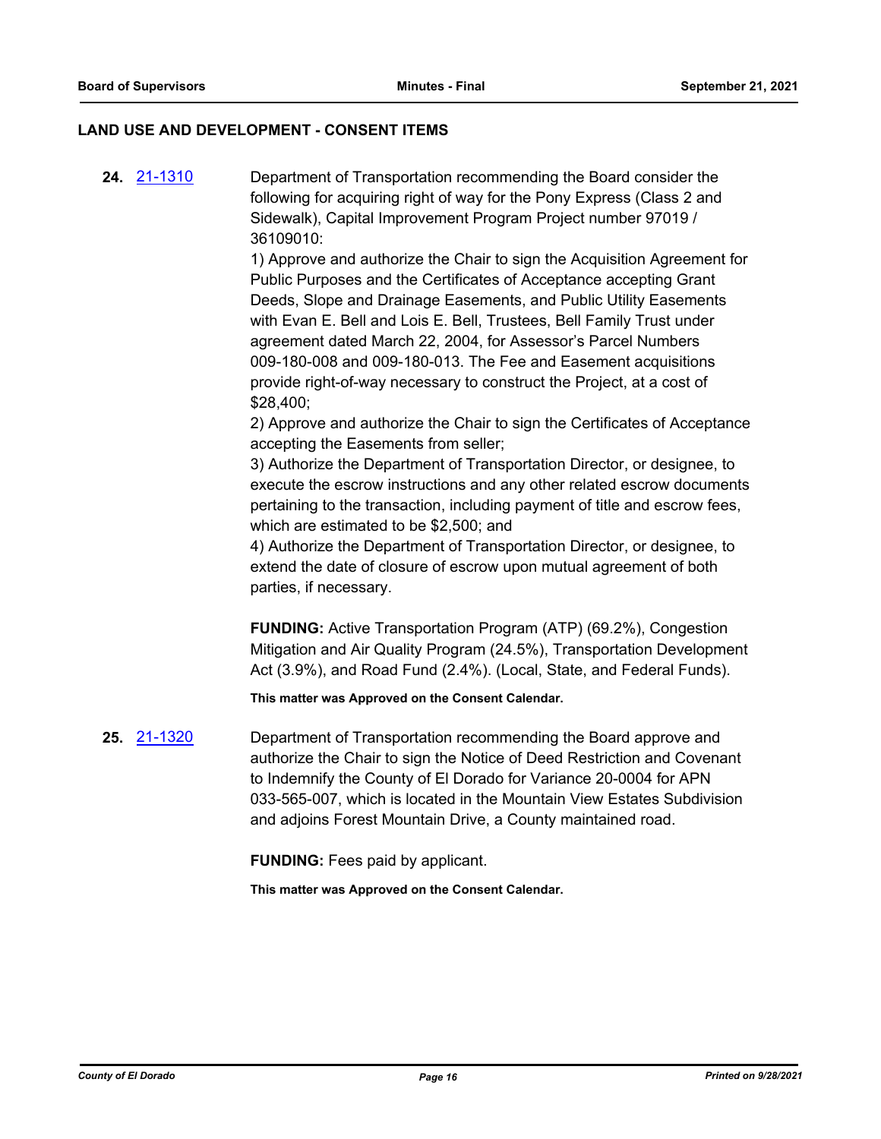#### **LAND USE AND DEVELOPMENT - CONSENT ITEMS**

**24.** [21-1310](http://eldorado.legistar.com/gateway.aspx?m=l&id=/matter.aspx?key=30205) Department of Transportation recommending the Board consider the following for acquiring right of way for the Pony Express (Class 2 and Sidewalk), Capital Improvement Program Project number 97019 / 36109010:

> 1) Approve and authorize the Chair to sign the Acquisition Agreement for Public Purposes and the Certificates of Acceptance accepting Grant Deeds, Slope and Drainage Easements, and Public Utility Easements with Evan E. Bell and Lois E. Bell, Trustees, Bell Family Trust under agreement dated March 22, 2004, for Assessor's Parcel Numbers 009-180-008 and 009-180-013. The Fee and Easement acquisitions provide right-of-way necessary to construct the Project, at a cost of \$28,400;

> 2) Approve and authorize the Chair to sign the Certificates of Acceptance accepting the Easements from seller;

> 3) Authorize the Department of Transportation Director, or designee, to execute the escrow instructions and any other related escrow documents pertaining to the transaction, including payment of title and escrow fees, which are estimated to be \$2,500; and

4) Authorize the Department of Transportation Director, or designee, to extend the date of closure of escrow upon mutual agreement of both parties, if necessary.

**FUNDING:** Active Transportation Program (ATP) (69.2%), Congestion Mitigation and Air Quality Program (24.5%), Transportation Development Act (3.9%), and Road Fund (2.4%). (Local, State, and Federal Funds).

**This matter was Approved on the Consent Calendar.**

**25.** [21-1320](http://eldorado.legistar.com/gateway.aspx?m=l&id=/matter.aspx?key=30215) Department of Transportation recommending the Board approve and authorize the Chair to sign the Notice of Deed Restriction and Covenant to Indemnify the County of El Dorado for Variance 20-0004 for APN 033-565-007, which is located in the Mountain View Estates Subdivision and adjoins Forest Mountain Drive, a County maintained road.

**FUNDING:** Fees paid by applicant.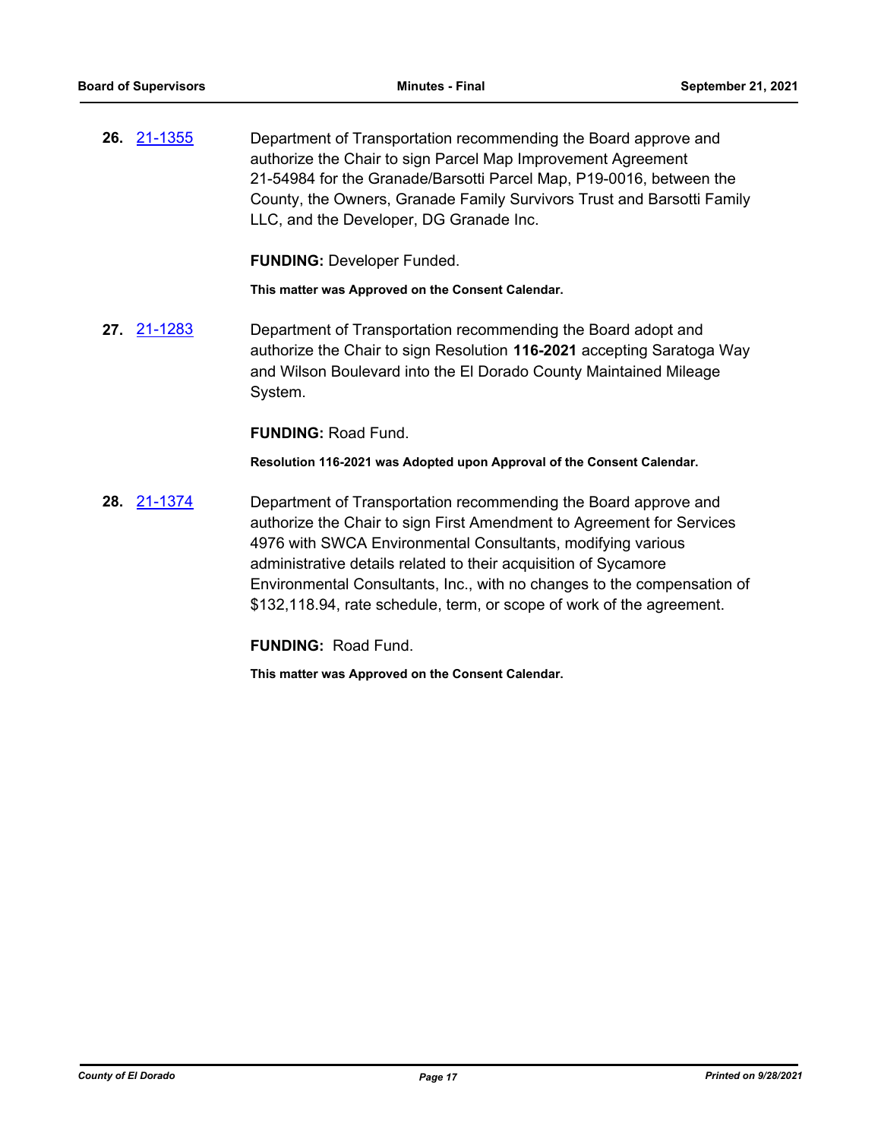**26.** [21-1355](http://eldorado.legistar.com/gateway.aspx?m=l&id=/matter.aspx?key=30250) Department of Transportation recommending the Board approve and authorize the Chair to sign Parcel Map Improvement Agreement 21-54984 for the Granade/Barsotti Parcel Map, P19-0016, between the County, the Owners, Granade Family Survivors Trust and Barsotti Family LLC, and the Developer, DG Granade Inc.

**FUNDING:** Developer Funded.

**This matter was Approved on the Consent Calendar.**

**27.** [21-1283](http://eldorado.legistar.com/gateway.aspx?m=l&id=/matter.aspx?key=30178) Department of Transportation recommending the Board adopt and authorize the Chair to sign Resolution **116-2021** accepting Saratoga Way and Wilson Boulevard into the El Dorado County Maintained Mileage System.

**FUNDING:** Road Fund.

**Resolution 116-2021 was Adopted upon Approval of the Consent Calendar.**

**28.** [21-1374](http://eldorado.legistar.com/gateway.aspx?m=l&id=/matter.aspx?key=30269) Department of Transportation recommending the Board approve and authorize the Chair to sign First Amendment to Agreement for Services 4976 with SWCA Environmental Consultants, modifying various administrative details related to their acquisition of Sycamore Environmental Consultants, Inc., with no changes to the compensation of \$132,118.94, rate schedule, term, or scope of work of the agreement.

**FUNDING:** Road Fund.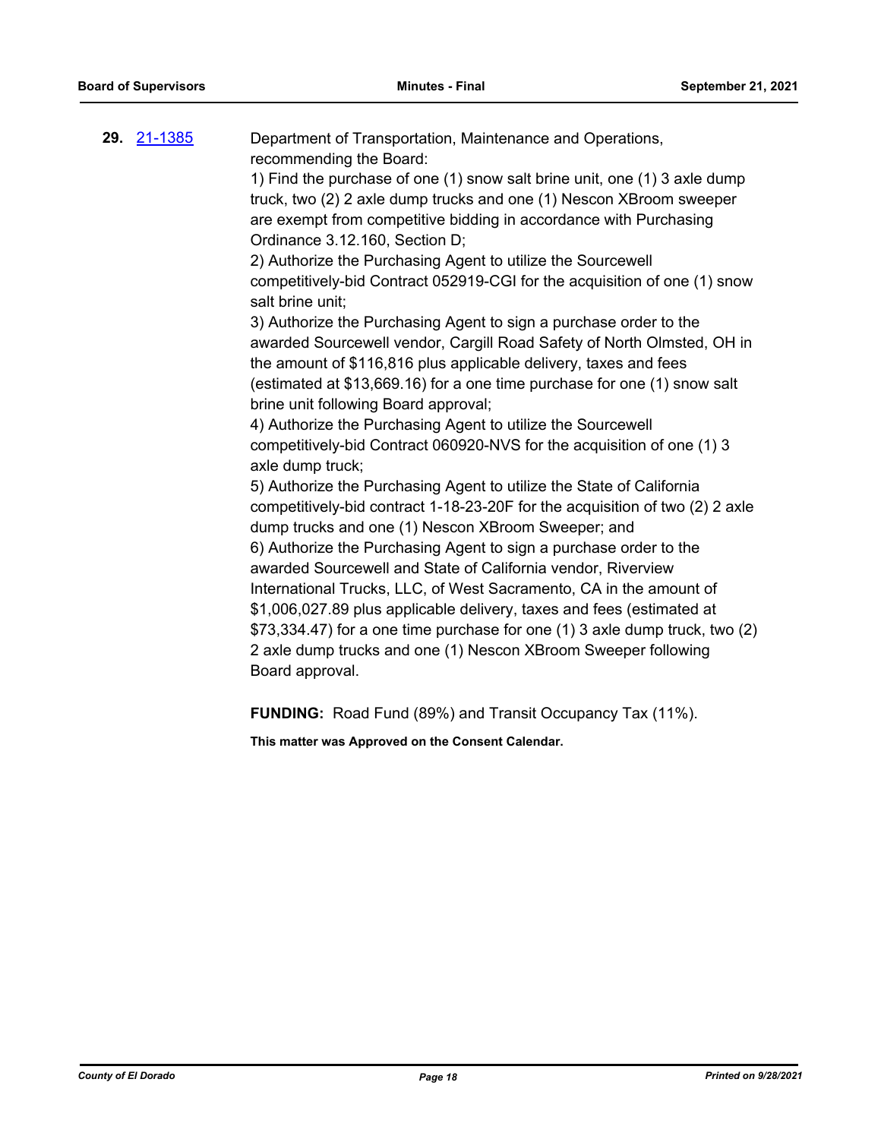| 29. <u>21-1385</u> | Department of Transportation, Maintenance and Operations,<br>recommending the Board:                                                                                                                                                                                                                                                                                                                                                                                                                                                                                                                                                                                                                                                                                                                                                                                                                                                                                                                                                                                                                                                                |
|--------------------|-----------------------------------------------------------------------------------------------------------------------------------------------------------------------------------------------------------------------------------------------------------------------------------------------------------------------------------------------------------------------------------------------------------------------------------------------------------------------------------------------------------------------------------------------------------------------------------------------------------------------------------------------------------------------------------------------------------------------------------------------------------------------------------------------------------------------------------------------------------------------------------------------------------------------------------------------------------------------------------------------------------------------------------------------------------------------------------------------------------------------------------------------------|
|                    | 1) Find the purchase of one (1) snow salt brine unit, one (1) 3 axle dump<br>truck, two (2) 2 axle dump trucks and one (1) Nescon XBroom sweeper<br>are exempt from competitive bidding in accordance with Purchasing                                                                                                                                                                                                                                                                                                                                                                                                                                                                                                                                                                                                                                                                                                                                                                                                                                                                                                                               |
|                    | Ordinance 3.12.160, Section D;<br>2) Authorize the Purchasing Agent to utilize the Sourcewell                                                                                                                                                                                                                                                                                                                                                                                                                                                                                                                                                                                                                                                                                                                                                                                                                                                                                                                                                                                                                                                       |
|                    | competitively-bid Contract 052919-CGI for the acquisition of one (1) snow<br>salt brine unit;                                                                                                                                                                                                                                                                                                                                                                                                                                                                                                                                                                                                                                                                                                                                                                                                                                                                                                                                                                                                                                                       |
|                    | 3) Authorize the Purchasing Agent to sign a purchase order to the<br>awarded Sourcewell vendor, Cargill Road Safety of North Olmsted, OH in<br>the amount of \$116,816 plus applicable delivery, taxes and fees<br>(estimated at \$13,669.16) for a one time purchase for one (1) snow salt<br>brine unit following Board approval;<br>4) Authorize the Purchasing Agent to utilize the Sourcewell<br>competitively-bid Contract 060920-NVS for the acquisition of one (1) 3<br>axle dump truck;<br>5) Authorize the Purchasing Agent to utilize the State of California<br>competitively-bid contract 1-18-23-20F for the acquisition of two (2) 2 axle<br>dump trucks and one (1) Nescon XBroom Sweeper; and<br>6) Authorize the Purchasing Agent to sign a purchase order to the<br>awarded Sourcewell and State of California vendor, Riverview<br>International Trucks, LLC, of West Sacramento, CA in the amount of<br>\$1,006,027.89 plus applicable delivery, taxes and fees (estimated at<br>\$73,334.47) for a one time purchase for one (1) 3 axle dump truck, two (2)<br>2 axle dump trucks and one (1) Nescon XBroom Sweeper following |
|                    | Board approval.                                                                                                                                                                                                                                                                                                                                                                                                                                                                                                                                                                                                                                                                                                                                                                                                                                                                                                                                                                                                                                                                                                                                     |
|                    |                                                                                                                                                                                                                                                                                                                                                                                                                                                                                                                                                                                                                                                                                                                                                                                                                                                                                                                                                                                                                                                                                                                                                     |

**FUNDING:** Road Fund (89%) and Transit Occupancy Tax (11%).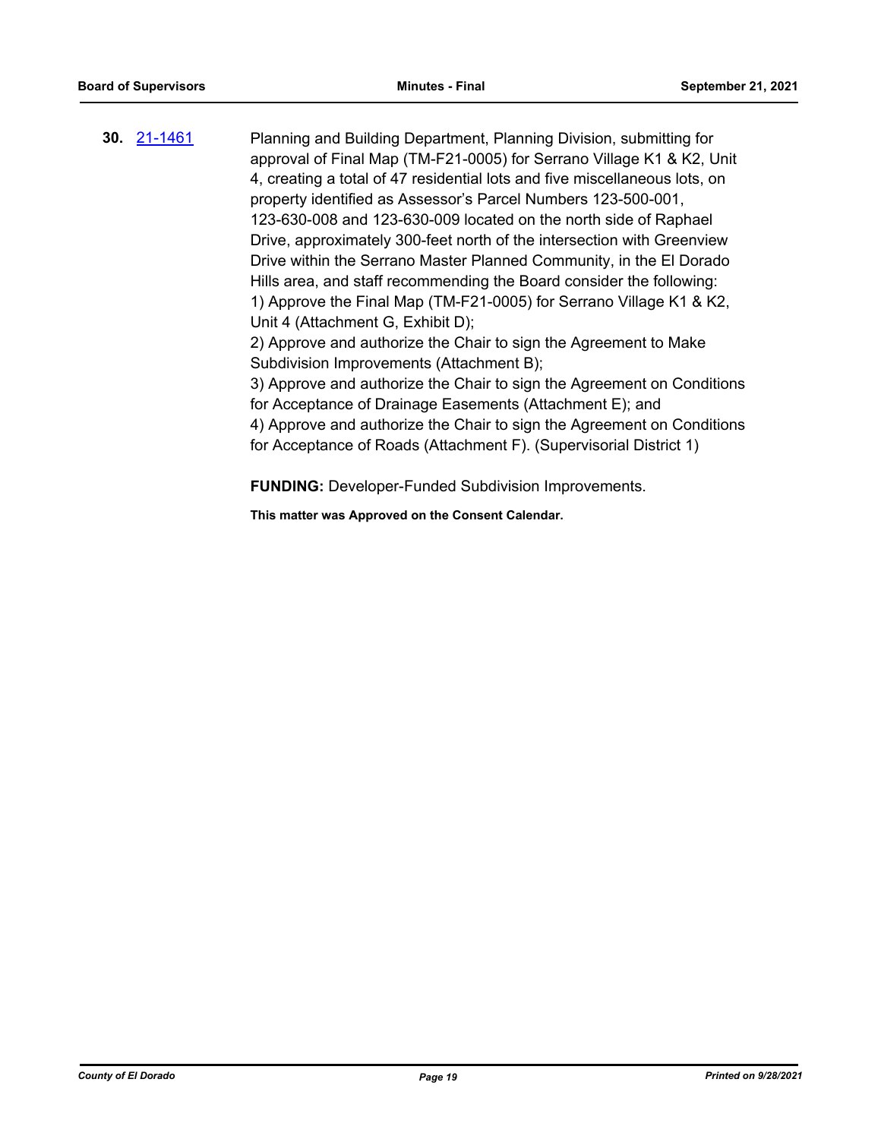**30.** [21-1461](http://eldorado.legistar.com/gateway.aspx?m=l&id=/matter.aspx?key=30356) Planning and Building Department, Planning Division, submitting for approval of Final Map (TM-F21-0005) for Serrano Village K1 & K2, Unit 4, creating a total of 47 residential lots and five miscellaneous lots, on property identified as Assessor's Parcel Numbers 123-500-001, 123-630-008 and 123-630-009 located on the north side of Raphael Drive, approximately 300-feet north of the intersection with Greenview Drive within the Serrano Master Planned Community, in the El Dorado Hills area, and staff recommending the Board consider the following: 1) Approve the Final Map (TM-F21-0005) for Serrano Village K1 & K2, Unit 4 (Attachment G, Exhibit D); 2) Approve and authorize the Chair to sign the Agreement to Make Subdivision Improvements (Attachment B); 3) Approve and authorize the Chair to sign the Agreement on Conditions for Acceptance of Drainage Easements (Attachment E); and 4) Approve and authorize the Chair to sign the Agreement on Conditions for Acceptance of Roads (Attachment F). (Supervisorial District 1)

**FUNDING:** Developer-Funded Subdivision Improvements.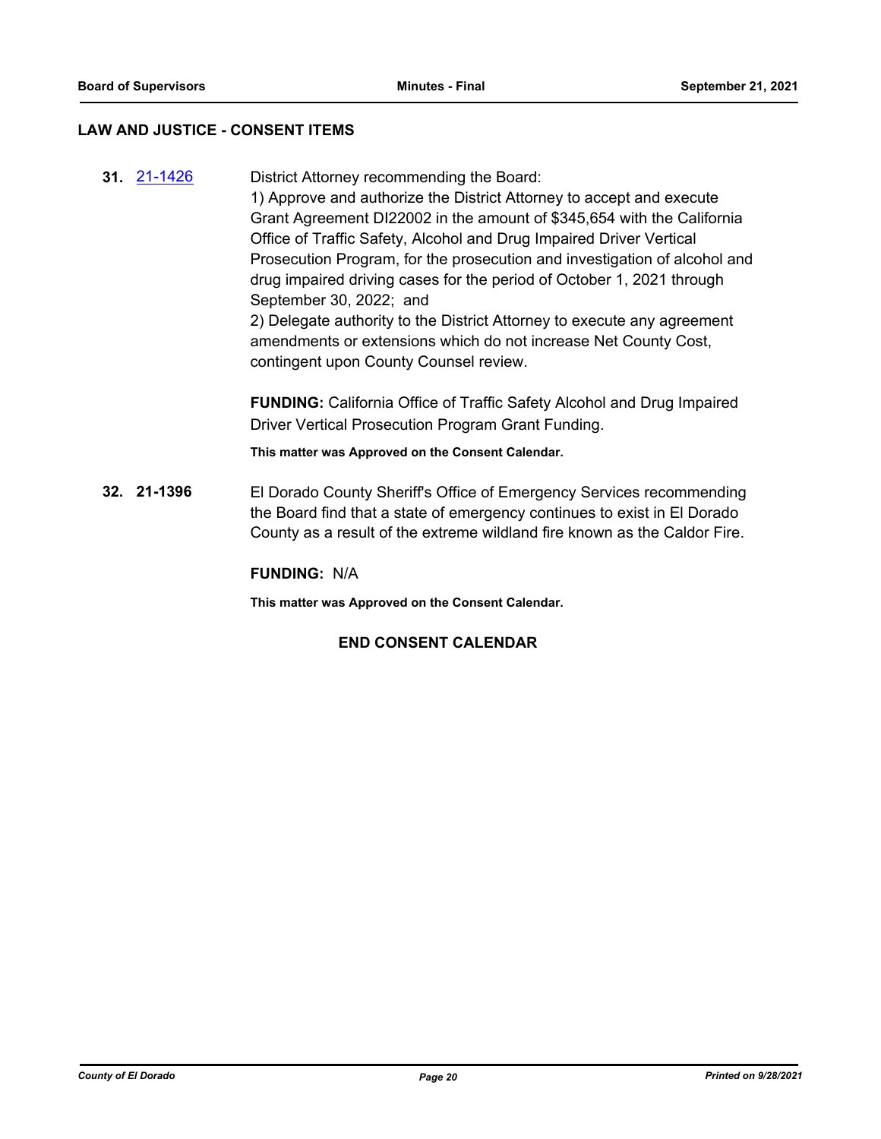#### **LAW AND JUSTICE - CONSENT ITEMS**

**31.** [21-1426](http://eldorado.legistar.com/gateway.aspx?m=l&id=/matter.aspx?key=30321) District Attorney recommending the Board: 1) Approve and authorize the District Attorney to accept and execute Grant Agreement DI22002 in the amount of \$345,654 with the California Office of Traffic Safety, Alcohol and Drug Impaired Driver Vertical Prosecution Program, for the prosecution and investigation of alcohol and drug impaired driving cases for the period of October 1, 2021 through September 30, 2022; and 2) Delegate authority to the District Attorney to execute any agreement amendments or extensions which do not increase Net County Cost, contingent upon County Counsel review. **FUNDING:** California Office of Traffic Safety Alcohol and Drug Impaired Driver Vertical Prosecution Program Grant Funding. **This matter was Approved on the Consent Calendar. 32. 21-1396** El Dorado County Sheriff's Office of Emergency Services recommending the Board find that a state of emergency continues to exist in El Dorado

**FUNDING:** N/A

**This matter was Approved on the Consent Calendar.**

## **END CONSENT CALENDAR**

County as a result of the extreme wildland fire known as the Caldor Fire.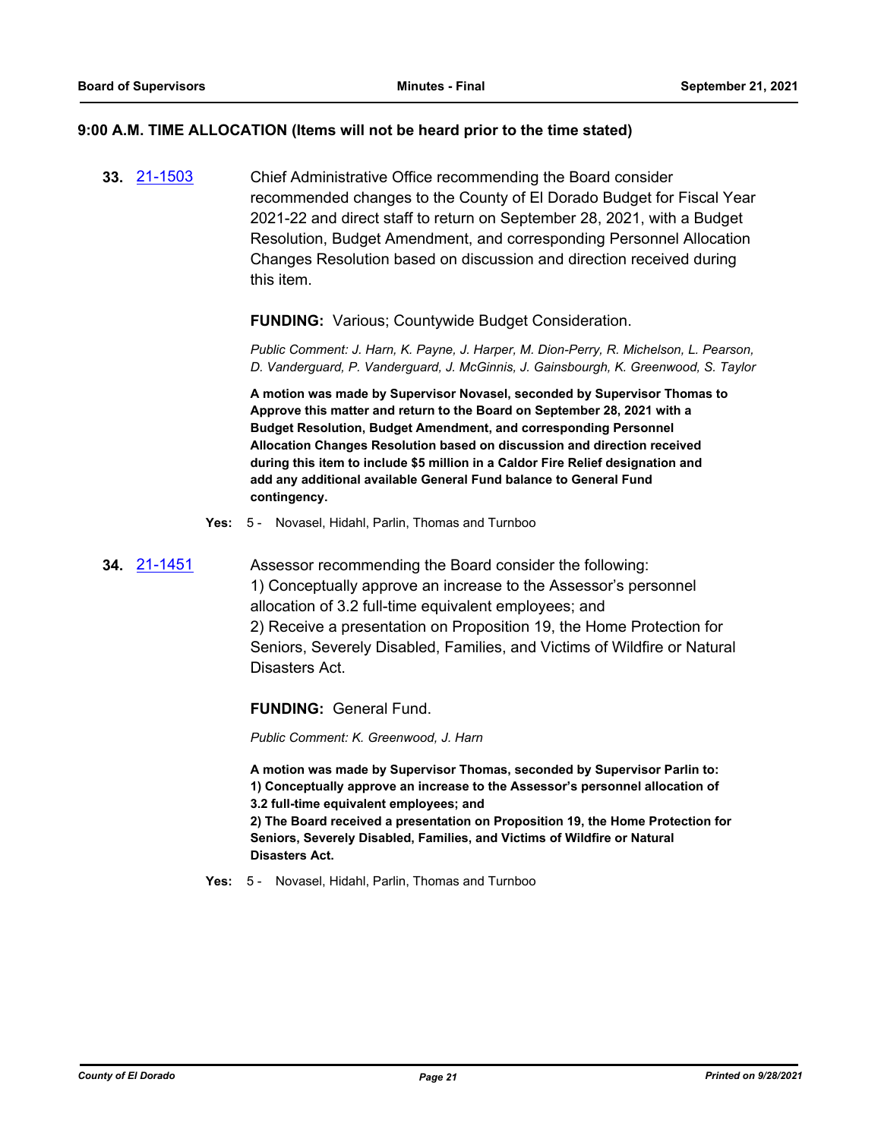#### **9:00 A.M. TIME ALLOCATION (Items will not be heard prior to the time stated)**

**33.** [21-1503](http://eldorado.legistar.com/gateway.aspx?m=l&id=/matter.aspx?key=30398) Chief Administrative Office recommending the Board consider recommended changes to the County of El Dorado Budget for Fiscal Year 2021-22 and direct staff to return on September 28, 2021, with a Budget Resolution, Budget Amendment, and corresponding Personnel Allocation Changes Resolution based on discussion and direction received during this item.

#### **FUNDING:** Various; Countywide Budget Consideration.

*Public Comment: J. Harn, K. Payne, J. Harper, M. Dion-Perry, R. Michelson, L. Pearson, D. Vanderguard, P. Vanderguard, J. McGinnis, J. Gainsbourgh, K. Greenwood, S. Taylor*

**A motion was made by Supervisor Novasel, seconded by Supervisor Thomas to Approve this matter and return to the Board on September 28, 2021 with a Budget Resolution, Budget Amendment, and corresponding Personnel Allocation Changes Resolution based on discussion and direction received during this item to include \$5 million in a Caldor Fire Relief designation and add any additional available General Fund balance to General Fund contingency.**

- **Yes:** 5 Novasel, Hidahl, Parlin, Thomas and Turnboo
- **34.** [21-1451](http://eldorado.legistar.com/gateway.aspx?m=l&id=/matter.aspx?key=30346) Assessor recommending the Board consider the following: 1) Conceptually approve an increase to the Assessor's personnel allocation of 3.2 full-time equivalent employees; and 2) Receive a presentation on Proposition 19, the Home Protection for Seniors, Severely Disabled, Families, and Victims of Wildfire or Natural Disasters Act.

**FUNDING:** General Fund.

*Public Comment: K. Greenwood, J. Harn*

**A motion was made by Supervisor Thomas, seconded by Supervisor Parlin to: 1) Conceptually approve an increase to the Assessor's personnel allocation of 3.2 full-time equivalent employees; and**

**2) The Board received a presentation on Proposition 19, the Home Protection for Seniors, Severely Disabled, Families, and Victims of Wildfire or Natural Disasters Act.**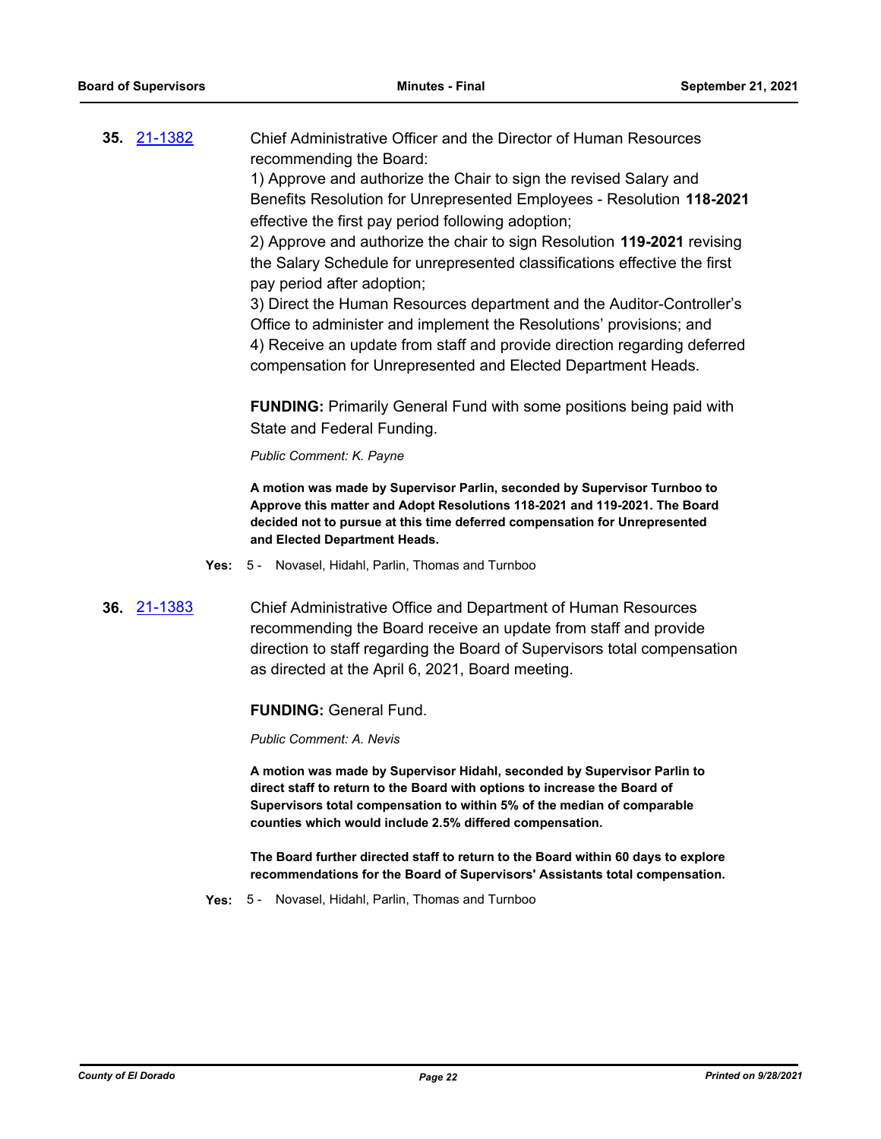**35.** [21-1382](http://eldorado.legistar.com/gateway.aspx?m=l&id=/matter.aspx?key=30277) Chief Administrative Officer and the Director of Human Resources recommending the Board:

1) Approve and authorize the Chair to sign the revised Salary and Benefits Resolution for Unrepresented Employees - Resolution **118-2021** effective the first pay period following adoption;

2) Approve and authorize the chair to sign Resolution **119-2021** revising the Salary Schedule for unrepresented classifications effective the first pay period after adoption;

3) Direct the Human Resources department and the Auditor-Controller's Office to administer and implement the Resolutions' provisions; and 4) Receive an update from staff and provide direction regarding deferred compensation for Unrepresented and Elected Department Heads.

**FUNDING:** Primarily General Fund with some positions being paid with State and Federal Funding.

*Public Comment: K. Payne*

**A motion was made by Supervisor Parlin, seconded by Supervisor Turnboo to Approve this matter and Adopt Resolutions 118-2021 and 119-2021. The Board decided not to pursue at this time deferred compensation for Unrepresented and Elected Department Heads.**

- **Yes:** 5 Novasel, Hidahl, Parlin, Thomas and Turnboo
- **36.** [21-1383](http://eldorado.legistar.com/gateway.aspx?m=l&id=/matter.aspx?key=30278) Chief Administrative Office and Department of Human Resources recommending the Board receive an update from staff and provide direction to staff regarding the Board of Supervisors total compensation as directed at the April 6, 2021, Board meeting.

#### **FUNDING:** General Fund.

*Public Comment: A. Nevis*

**A motion was made by Supervisor Hidahl, seconded by Supervisor Parlin to direct staff to return to the Board with options to increase the Board of Supervisors total compensation to within 5% of the median of comparable counties which would include 2.5% differed compensation.**

**The Board further directed staff to return to the Board within 60 days to explore recommendations for the Board of Supervisors' Assistants total compensation.**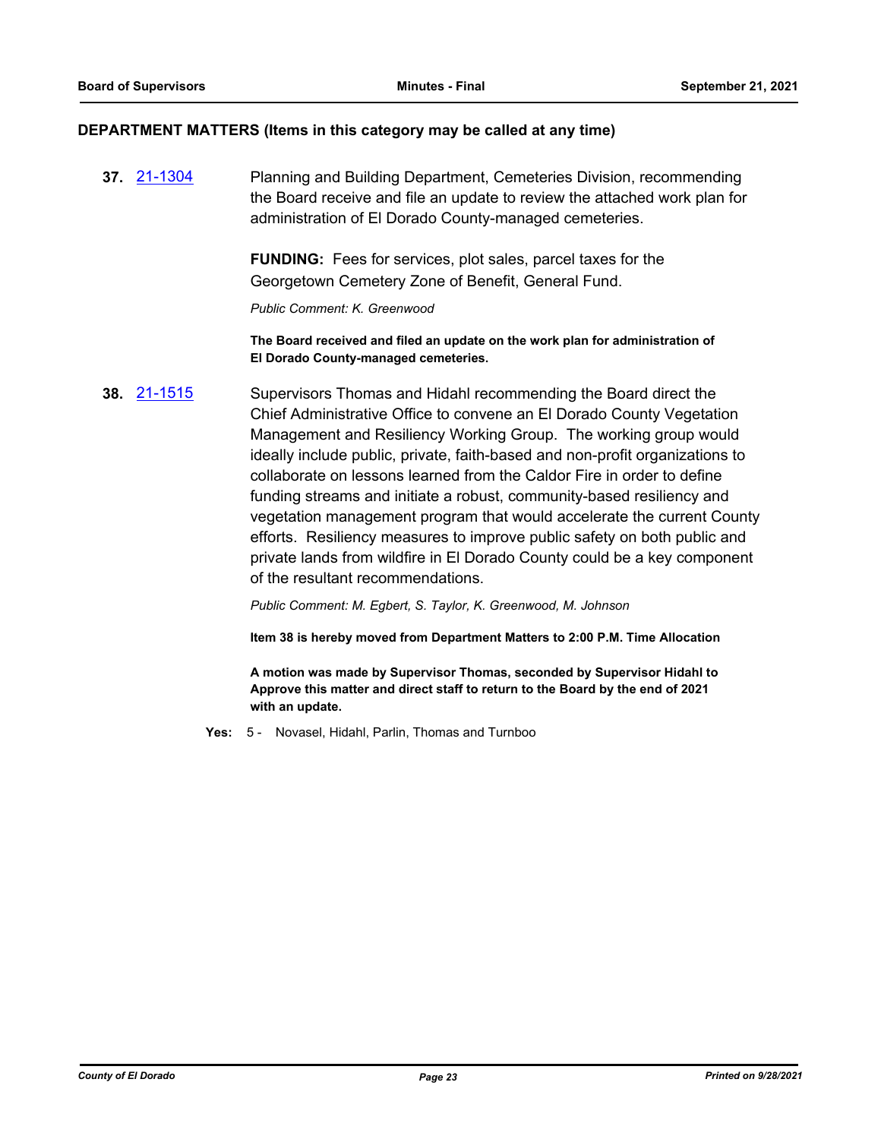#### **DEPARTMENT MATTERS (Items in this category may be called at any time)**

**37.** [21-1304](http://eldorado.legistar.com/gateway.aspx?m=l&id=/matter.aspx?key=30199) Planning and Building Department, Cemeteries Division, recommending the Board receive and file an update to review the attached work plan for administration of El Dorado County-managed cemeteries.

> **FUNDING:** Fees for services, plot sales, parcel taxes for the Georgetown Cemetery Zone of Benefit, General Fund.

*Public Comment: K. Greenwood*

**The Board received and filed an update on the work plan for administration of El Dorado County-managed cemeteries.**

**38.** [21-1515](http://eldorado.legistar.com/gateway.aspx?m=l&id=/matter.aspx?key=30410) Supervisors Thomas and Hidahl recommending the Board direct the Chief Administrative Office to convene an El Dorado County Vegetation Management and Resiliency Working Group. The working group would ideally include public, private, faith-based and non-profit organizations to collaborate on lessons learned from the Caldor Fire in order to define funding streams and initiate a robust, community-based resiliency and vegetation management program that would accelerate the current County efforts. Resiliency measures to improve public safety on both public and private lands from wildfire in El Dorado County could be a key component of the resultant recommendations.

*Public Comment: M. Egbert, S. Taylor, K. Greenwood, M. Johnson*

**Item 38 is hereby moved from Department Matters to 2:00 P.M. Time Allocation**

**A motion was made by Supervisor Thomas, seconded by Supervisor Hidahl to Approve this matter and direct staff to return to the Board by the end of 2021 with an update.**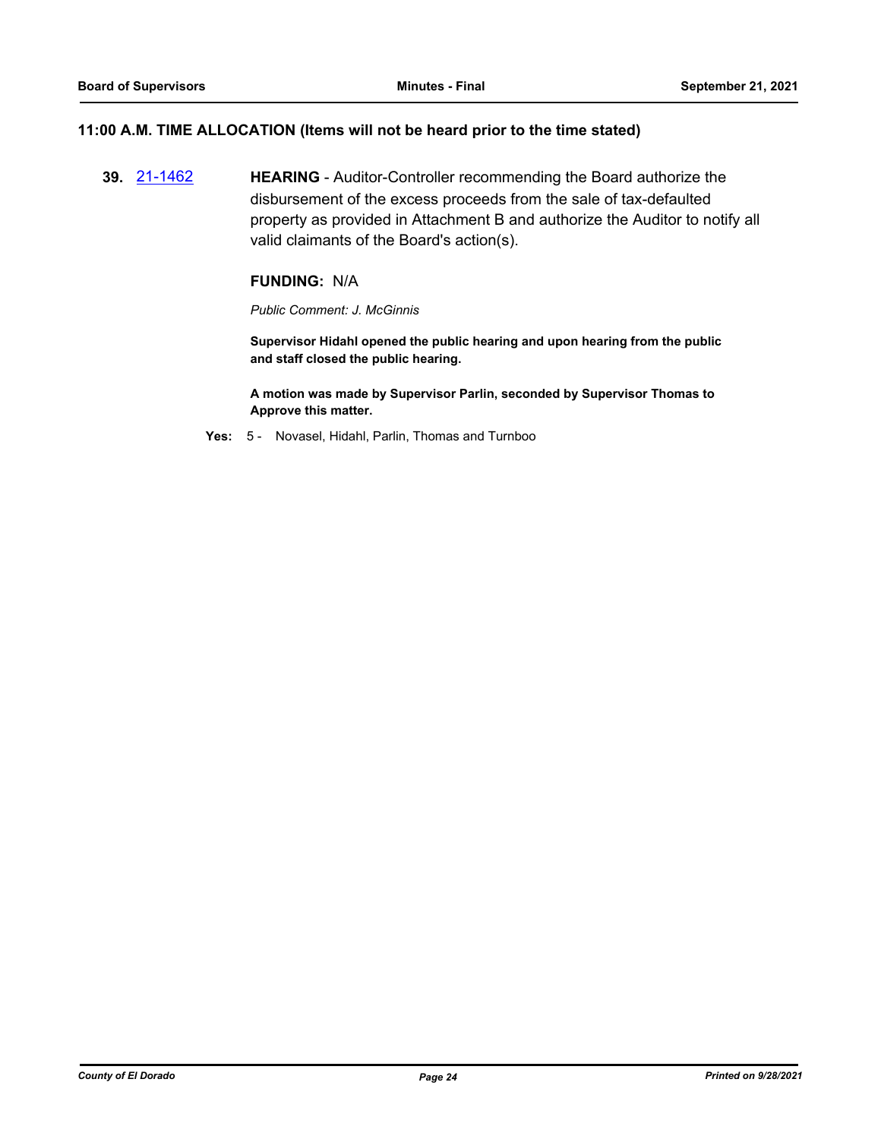#### **11:00 A.M. TIME ALLOCATION (Items will not be heard prior to the time stated)**

**39.** [21-1462](http://eldorado.legistar.com/gateway.aspx?m=l&id=/matter.aspx?key=30357) **HEARING** - Auditor-Controller recommending the Board authorize the disbursement of the excess proceeds from the sale of tax-defaulted property as provided in Attachment B and authorize the Auditor to notify all valid claimants of the Board's action(s).

#### **FUNDING:** N/A

*Public Comment: J. McGinnis*

**Supervisor Hidahl opened the public hearing and upon hearing from the public and staff closed the public hearing.**

**A motion was made by Supervisor Parlin, seconded by Supervisor Thomas to Approve this matter.**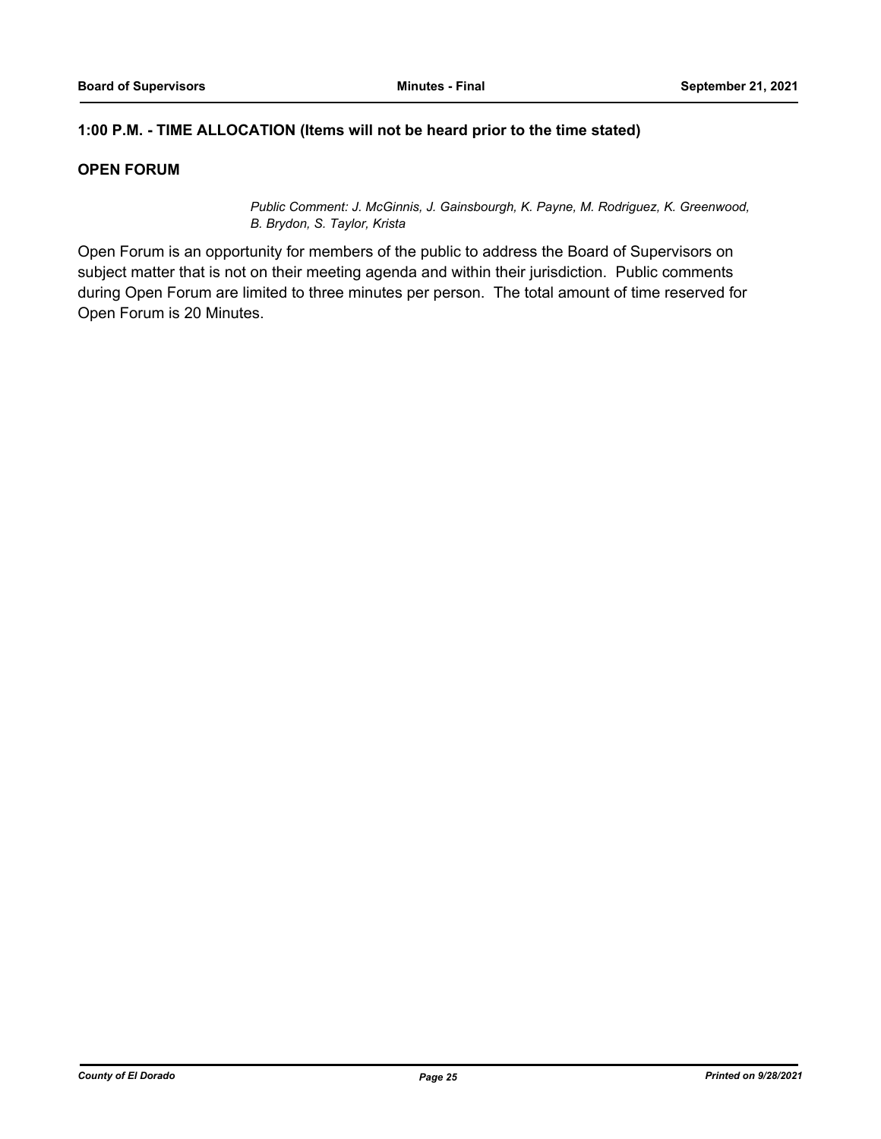## **1:00 P.M. - TIME ALLOCATION (Items will not be heard prior to the time stated)**

## **OPEN FORUM**

*Public Comment: J. McGinnis, J. Gainsbourgh, K. Payne, M. Rodriguez, K. Greenwood, B. Brydon, S. Taylor, Krista*

Open Forum is an opportunity for members of the public to address the Board of Supervisors on subject matter that is not on their meeting agenda and within their jurisdiction. Public comments during Open Forum are limited to three minutes per person. The total amount of time reserved for Open Forum is 20 Minutes.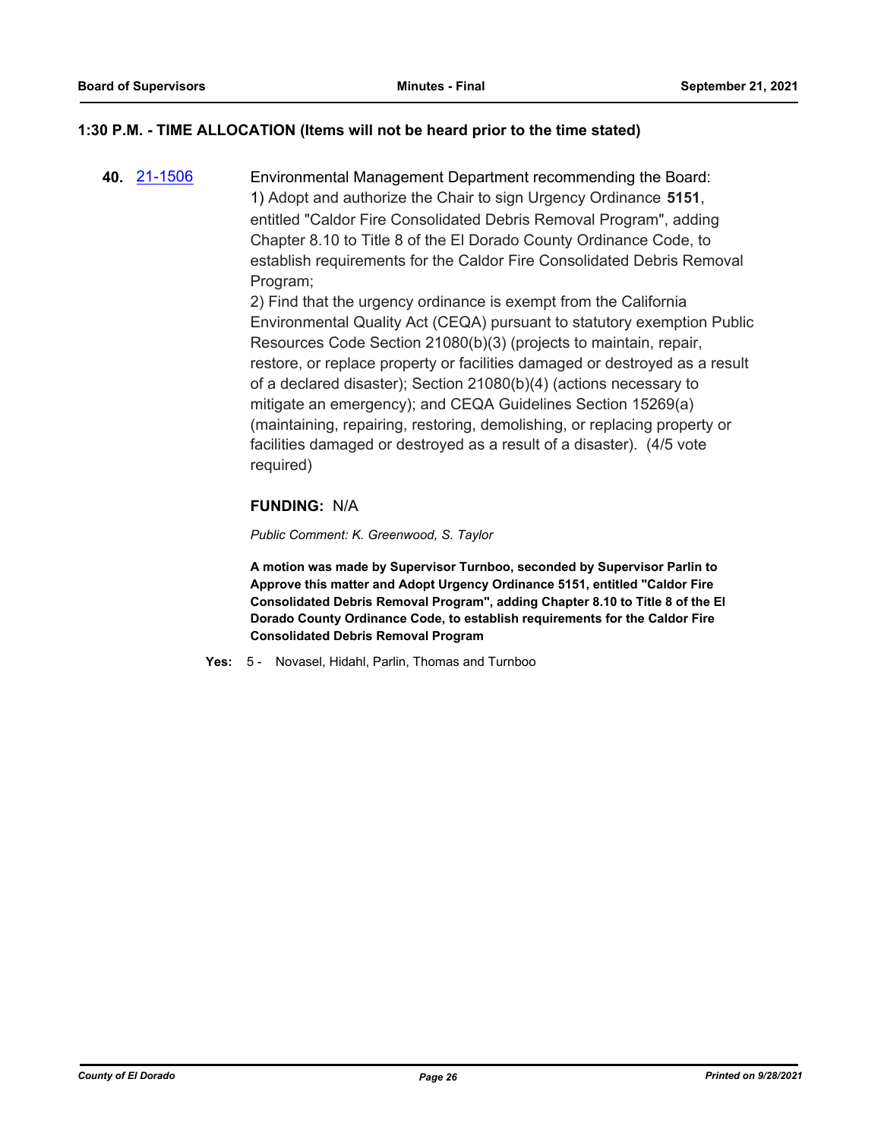## **1:30 P.M. - TIME ALLOCATION (Items will not be heard prior to the time stated)**

**40.** [21-1506](http://eldorado.legistar.com/gateway.aspx?m=l&id=/matter.aspx?key=30401) Environmental Management Department recommending the Board: 1) Adopt and authorize the Chair to sign Urgency Ordinance **5151**, entitled "Caldor Fire Consolidated Debris Removal Program", adding Chapter 8.10 to Title 8 of the El Dorado County Ordinance Code, to establish requirements for the Caldor Fire Consolidated Debris Removal Program;

> 2) Find that the urgency ordinance is exempt from the California Environmental Quality Act (CEQA) pursuant to statutory exemption Public Resources Code Section 21080(b)(3) (projects to maintain, repair, restore, or replace property or facilities damaged or destroyed as a result of a declared disaster); Section 21080(b)(4) (actions necessary to mitigate an emergency); and CEQA Guidelines Section 15269(a) (maintaining, repairing, restoring, demolishing, or replacing property or facilities damaged or destroyed as a result of a disaster). (4/5 vote required)

## **FUNDING:** N/A

*Public Comment: K. Greenwood, S. Taylor*

**A motion was made by Supervisor Turnboo, seconded by Supervisor Parlin to Approve this matter and Adopt Urgency Ordinance 5151, entitled "Caldor Fire Consolidated Debris Removal Program", adding Chapter 8.10 to Title 8 of the El Dorado County Ordinance Code, to establish requirements for the Caldor Fire Consolidated Debris Removal Program**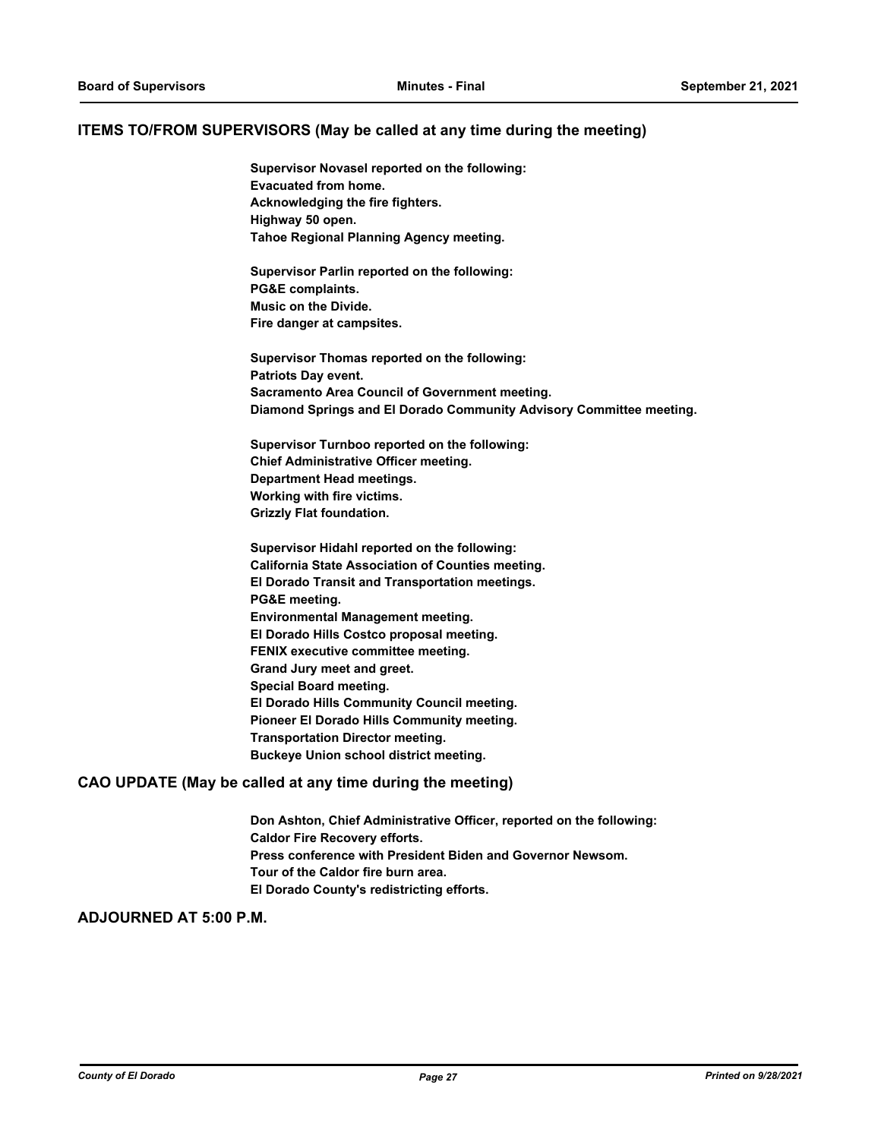#### **ITEMS TO/FROM SUPERVISORS (May be called at any time during the meeting)**

**Supervisor Novasel reported on the following: Evacuated from home. Acknowledging the fire fighters. Highway 50 open. Tahoe Regional Planning Agency meeting.**

**Supervisor Parlin reported on the following: PG&E complaints. Music on the Divide. Fire danger at campsites.**

**Supervisor Thomas reported on the following: Patriots Day event. Sacramento Area Council of Government meeting. Diamond Springs and El Dorado Community Advisory Committee meeting.**

**Supervisor Turnboo reported on the following: Chief Administrative Officer meeting. Department Head meetings. Working with fire victims. Grizzly Flat foundation.**

**Supervisor Hidahl reported on the following: California State Association of Counties meeting. El Dorado Transit and Transportation meetings. PG&E meeting. Environmental Management meeting. El Dorado Hills Costco proposal meeting. FENIX executive committee meeting. Grand Jury meet and greet. Special Board meeting. El Dorado Hills Community Council meeting. Pioneer El Dorado Hills Community meeting. Transportation Director meeting. Buckeye Union school district meeting.**

#### **CAO UPDATE (May be called at any time during the meeting)**

**Don Ashton, Chief Administrative Officer, reported on the following: Caldor Fire Recovery efforts. Press conference with President Biden and Governor Newsom. Tour of the Caldor fire burn area. El Dorado County's redistricting efforts.**

#### **ADJOURNED AT 5:00 P.M.**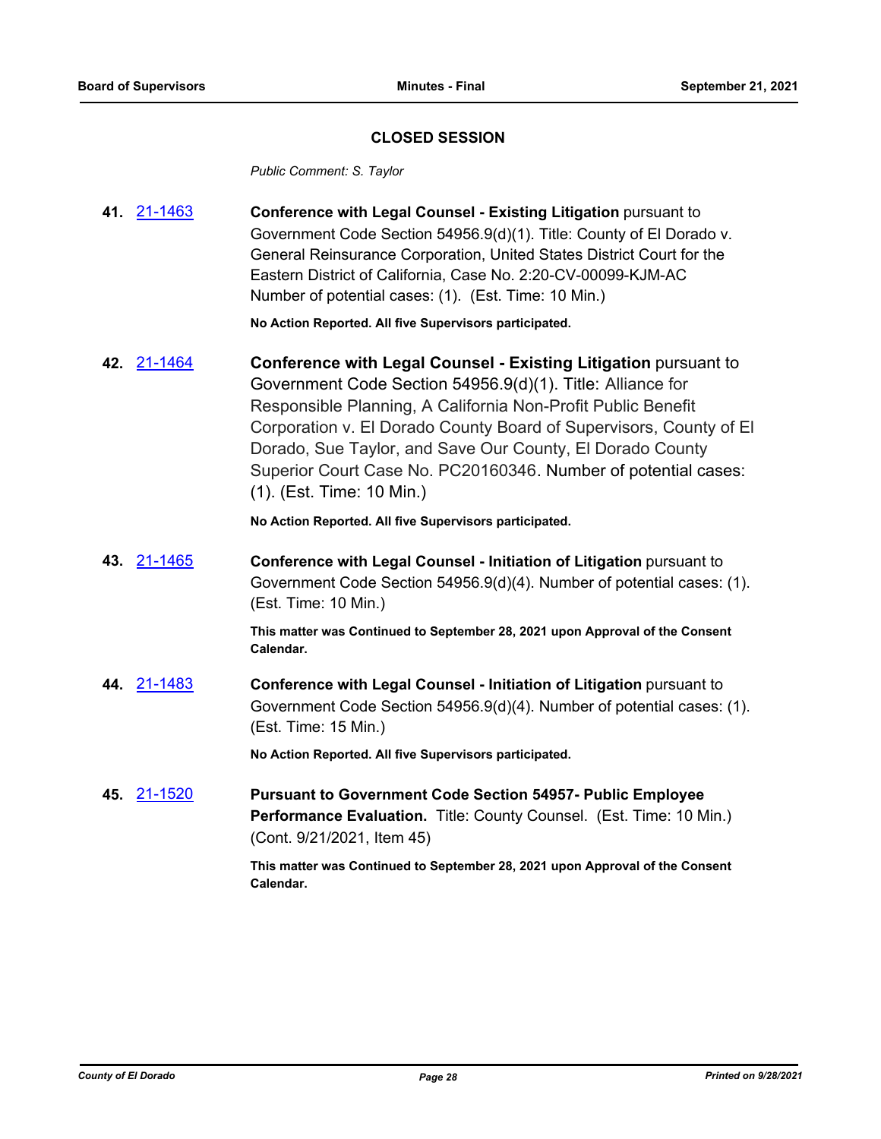## **CLOSED SESSION**

*Public Comment: S. Taylor*

**41.** [21-1463](http://eldorado.legistar.com/gateway.aspx?m=l&id=/matter.aspx?key=30358) **Conference with Legal Counsel - Existing Litigation** pursuant to Government Code Section 54956.9(d)(1). Title: County of El Dorado v. General Reinsurance Corporation, United States District Court for the Eastern District of California, Case No. 2:20-CV-00099-KJM-AC Number of potential cases: (1). (Est. Time: 10 Min.)

**No Action Reported. All five Supervisors participated.**

**42.** [21-1464](http://eldorado.legistar.com/gateway.aspx?m=l&id=/matter.aspx?key=30359) **Conference with Legal Counsel - Existing Litigation** pursuant to Government Code Section 54956.9(d)(1). Title: Alliance for Responsible Planning, A California Non-Profit Public Benefit Corporation v. El Dorado County Board of Supervisors, County of El Dorado, Sue Taylor, and Save Our County, El Dorado County Superior Court Case No. PC20160346. Number of potential cases: (1). (Est. Time: 10 Min.)

**No Action Reported. All five Supervisors participated.**

**43.** [21-1465](http://eldorado.legistar.com/gateway.aspx?m=l&id=/matter.aspx?key=30360) **Conference with Legal Counsel - Initiation of Litigation** pursuant to Government Code Section 54956.9(d)(4). Number of potential cases: (1). (Est. Time: 10 Min.)

> **This matter was Continued to September 28, 2021 upon Approval of the Consent Calendar.**

**44.** [21-1483](http://eldorado.legistar.com/gateway.aspx?m=l&id=/matter.aspx?key=30378) **Conference with Legal Counsel - Initiation of Litigation** pursuant to Government Code Section 54956.9(d)(4). Number of potential cases: (1). (Est. Time: 15 Min.)

**No Action Reported. All five Supervisors participated.**

**45.** [21-1520](http://eldorado.legistar.com/gateway.aspx?m=l&id=/matter.aspx?key=30415) **Pursuant to Government Code Section 54957- Public Employee Performance Evaluation.** Title: County Counsel. (Est. Time: 10 Min.) (Cont. 9/21/2021, Item 45)

> **This matter was Continued to September 28, 2021 upon Approval of the Consent Calendar.**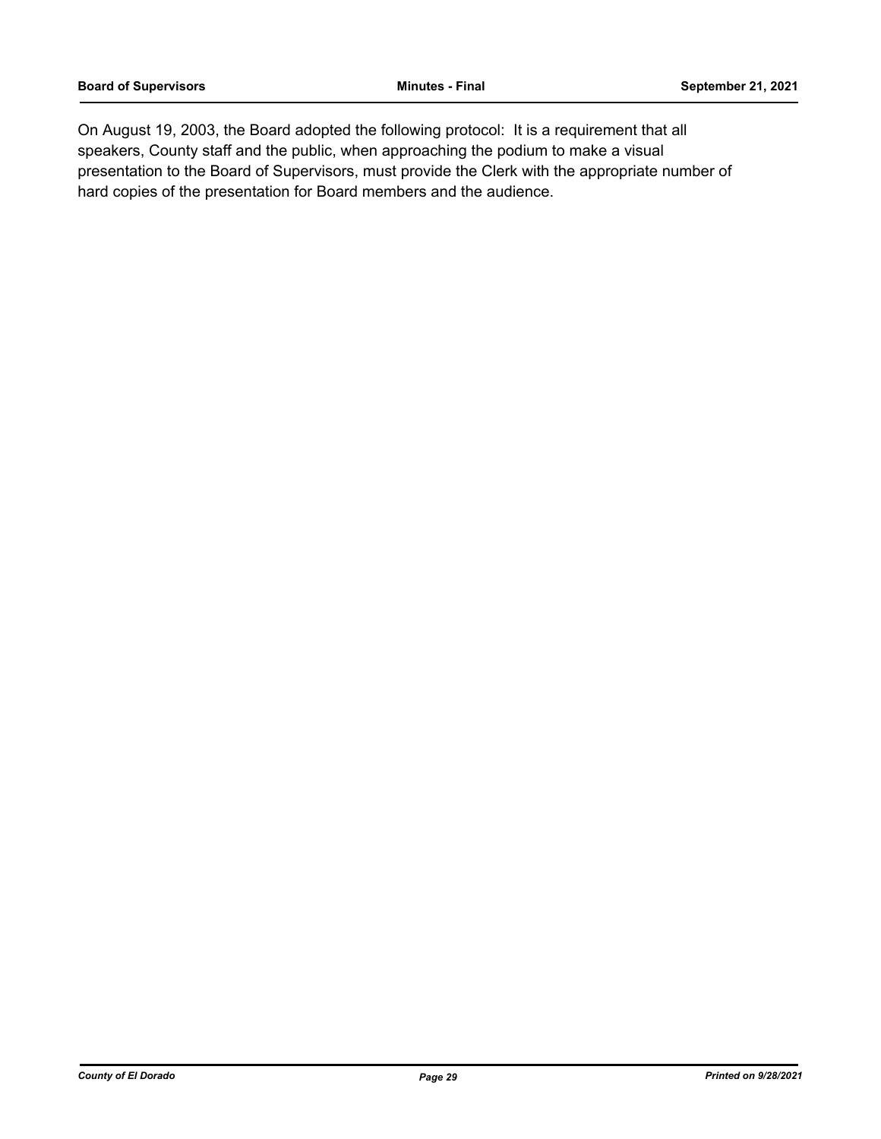On August 19, 2003, the Board adopted the following protocol: It is a requirement that all speakers, County staff and the public, when approaching the podium to make a visual presentation to the Board of Supervisors, must provide the Clerk with the appropriate number of hard copies of the presentation for Board members and the audience.